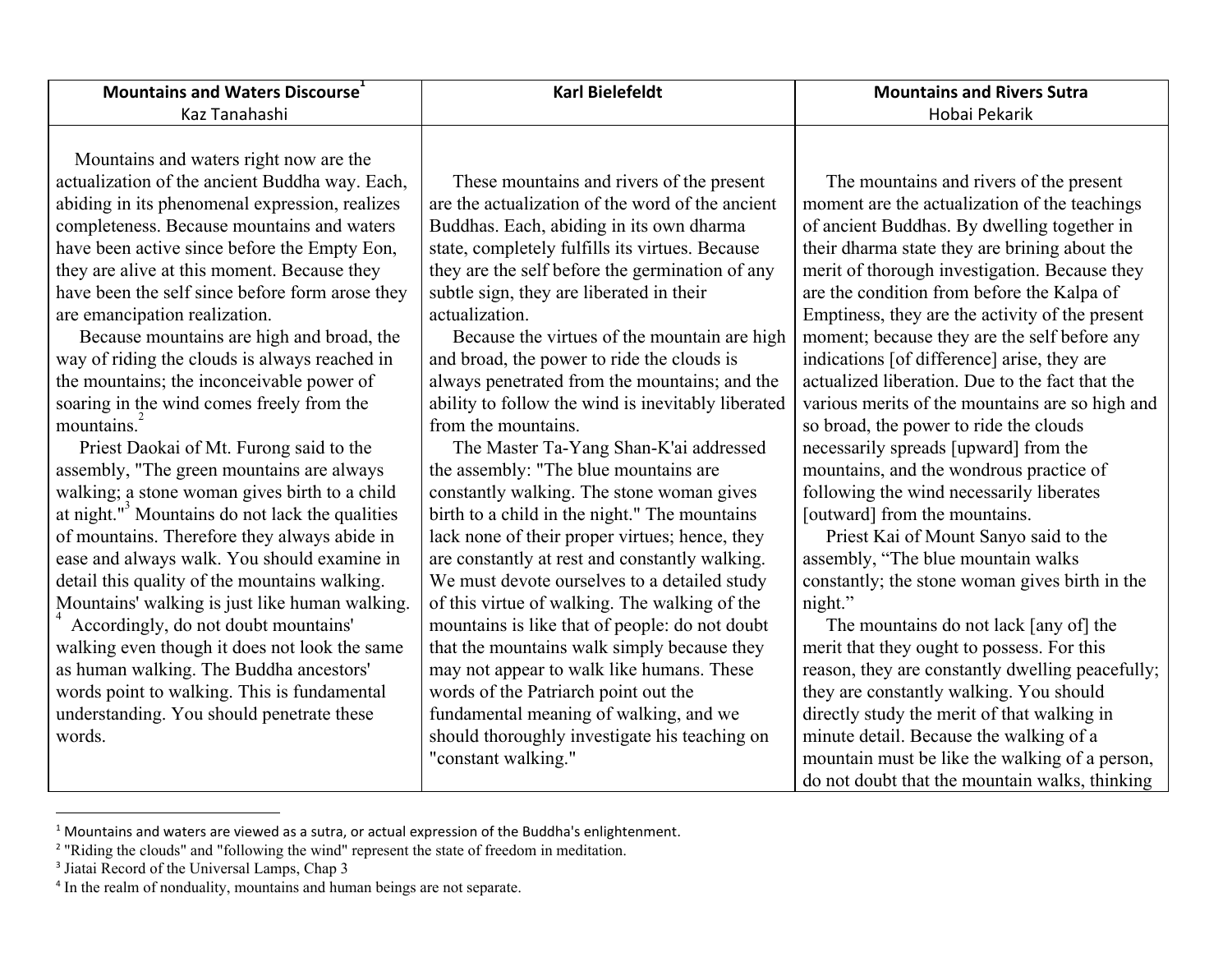| <b>Mountains and Waters Discourse</b> | <b>Karl Bielefeldt</b> | <b>Mountains and Rivers Sutra</b> |
|---------------------------------------|------------------------|-----------------------------------|
| Kaz Tanahashi                         |                        | Hobai Pekarik                     |

 Mountains and waters right now are the actualization of the ancient Buddha way. Each, abiding in its phenomenal expression, realizes completeness. Because mountains and waters have been active since before the Empty Eon, they are alive at this moment. Because they have been the self since before form arose they are emancipation realization.

 Because mountains are high and broad, the way of riding the clouds is always reached in the mountains; the inconceivable power of soaring in the wind comes freely from the mountains.<sup>2</sup>

 Priest Daokai of Mt. Furong said to the assembly, "The green mountains are always walking; a stone woman gives birth to a child at night." $3$  Mountains do not lack the qualities of mountains. Therefore they always abide in ease and always walk. You should examine in detail this quality of the mountains walking. Mountains' walking is just like human walking.

 Accordingly, do not doubt mountains' <sup>4</sup> walking even though it does not look the same as human walking. The Buddha ancestors' words point to walking. This is fundamental understanding. You should penetrate these words.

 These mountains and rivers of the present are the actualization of the word of the ancient Buddhas. Each, abiding in its own dharma state, completely fulfills its virtues. Because they are the self before the germination of any subtle sign, they are liberated in their actualization.

 Because the virtues of the mountain are high and broad, the power to ride the clouds is always penetrated from the mountains; and the ability to follow the wind is inevitably liberated from the mountains.

 The Master Ta-Yang Shan-K'ai addressed the assembly: "The blue mountains are constantly walking. The stone woman gives birth to a child in the night." The mountains lack none of their proper virtues; hence, they are constantly at rest and constantly walking. We must devote ourselves to a detailed study of this virtue of walking. The walking of the mountains is like that of people: do not doubt that the mountains walk simply because they may not appear to walk like humans. These words of the Patriarch point out the fundamental meaning of walking, and we should thoroughly investigate his teaching on "constant walking."

 The mountains and rivers of the present moment are the actualization of the teachings of ancient Buddhas. By dwelling together in their dharma state they are brining about the merit of thorough investigation. Because they are the condition from before the Kalpa of Emptiness, they are the activity of the present moment; because they are the self before any indications [of difference] arise, they are actualized liberation. Due to the fact that the various merits of the mountains are so high and so broad, the power to ride the clouds necessarily spreads [upward] from the mountains, and the wondrous practice of following the wind necessarily liberates [outward] from the mountains.

 Priest Kai of Mount Sanyo said to the assembly, "The blue mountain walks constantly; the stone woman gives birth in the night."

 The mountains do not lack [any of] the merit that they ought to possess. For this reason, they are constantly dwelling peacefully; they are constantly walking. You should directly study the merit of that walking in minute detail. Because the walking of a mountain must be like the walking of a person, do not doubt that the mountain walks, thinking

 $1$  Mountains and waters are viewed as a sutra, or actual expression of the Buddha's enlightenment.

<sup>&</sup>lt;sup>2</sup> "Riding the clouds" and "following the wind" represent the state of freedom in meditation.

<sup>&</sup>lt;sup>3</sup> Jiatai Record of the Universal Lamps, Chap 3

<sup>&</sup>lt;sup>4</sup> In the realm of nonduality, mountains and human beings are not separate.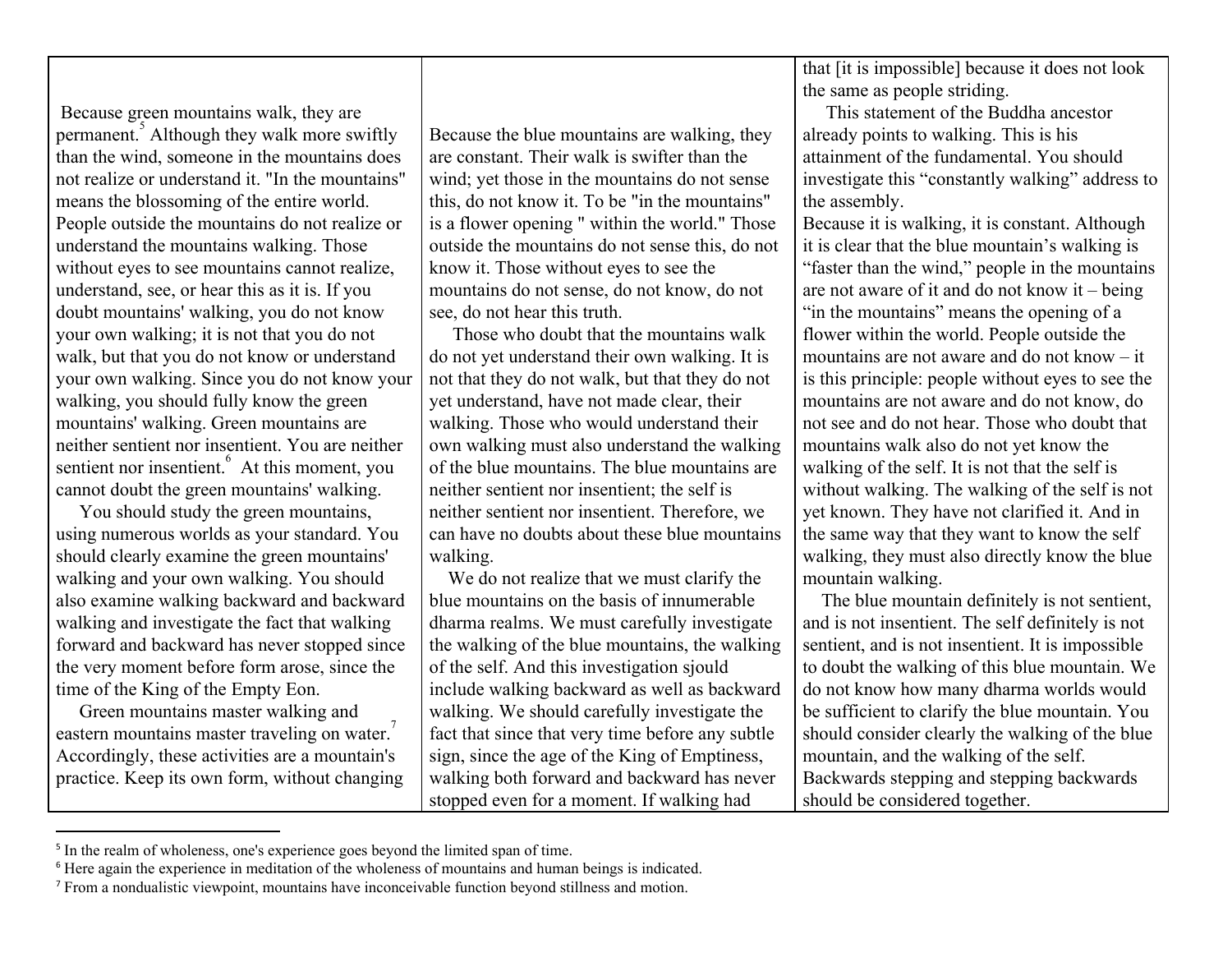Because green mountains walk, they are permanent.<sup>3</sup> Although they walk more swiftly than the wind, someone in the mountains does not realize or understand it. "In the mountains" means the blossoming of the entire world. People outside the mountains do not realize or understand the mountains walking. Those without eyes to see mountains cannot realize, understand, see, or hear this as it is. If you doubt mountains' walking, you do not know your own walking; it is not that you do not walk, but that you do not know or understand your own walking. Since you do not know your walking, you should fully know the green mountains' walking. Green mountains are neither sentient nor insentient. You are neither sentient nor insentient.<sup>6</sup> At this moment, you cannot doubt the green mountains' walking.

 You should study the green mountains, using numerous worlds as your standard. You should clearly examine the green mountains' walking and your own walking. You should also examine walking backward and backward walking and investigate the fact that walking forward and backward has never stopped since the very moment before form arose, since the time of the King of the Empty Eon.

 Green mountains master walking and eastern mountains master traveling on water.<sup>7</sup> Accordingly, these activities are a mountain's practice. Keep its own form, without changing

Because the blue mountains are walking, they are constant. Their walk is swifter than the wind; yet those in the mountains do not sense this, do not know it. To be "in the mountains" is a flower opening " within the world." Those outside the mountains do not sense this, do not know it. Those without eyes to see the mountains do not sense, do not know, do not see, do not hear this truth.

 Those who doubt that the mountains walk do not yet understand their own walking. It is not that they do not walk, but that they do not yet understand, have not made clear, their walking. Those who would understand their own walking must also understand the walking of the blue mountains. The blue mountains are neither sentient nor insentient; the self is neither sentient nor insentient. Therefore, we can have no doubts about these blue mountains walking.

 We do not realize that we must clarify the blue mountains on the basis of innumerable dharma realms. We must carefully investigate the walking of the blue mountains, the walking of the self. And this investigation sjould include walking backward as well as backward walking. We should carefully investigate the fact that since that very time before any subtle sign, since the age of the King of Emptiness, walking both forward and backward has never stopped even for a moment. If walking had

that [it is impossible] because it does not look the same as people striding.

 This statement of the Buddha ancestor already points to walking. This is his attainment of the fundamental. You should investigate this "constantly walking" address to the assembly.

Because it is walking, it is constant. Although it is clear that the blue mountain's walking is "faster than the wind," people in the mountains are not aware of it and do not know it – being "in the mountains" means the opening of a flower within the world. People outside the mountains are not aware and do not know – it is this principle: people without eyes to see the mountains are not aware and do not know, do not see and do not hear. Those who doubt that mountains walk also do not yet know the walking of the self. It is not that the self is without walking. The walking of the self is not yet known. They have not clarified it. And in the same way that they want to know the self walking, they must also directly know the blue mountain walking.

 The blue mountain definitely is not sentient, and is not insentient. The self definitely is not sentient, and is not insentient. It is impossible to doubt the walking of this blue mountain. We do not know how many dharma worlds would be sufficient to clarify the blue mountain. You should consider clearly the walking of the blue mountain, and the walking of the self. Backwards stepping and stepping backwards should be considered together.

<sup>&</sup>lt;sup>5</sup> In the realm of wholeness, one's experience goes beyond the limited span of time.

<sup>&</sup>lt;sup>6</sup> Here again the experience in meditation of the wholeness of mountains and human beings is indicated.

<sup>7</sup> From a nondualistic viewpoint, mountains have inconceivable function beyond stillness and motion.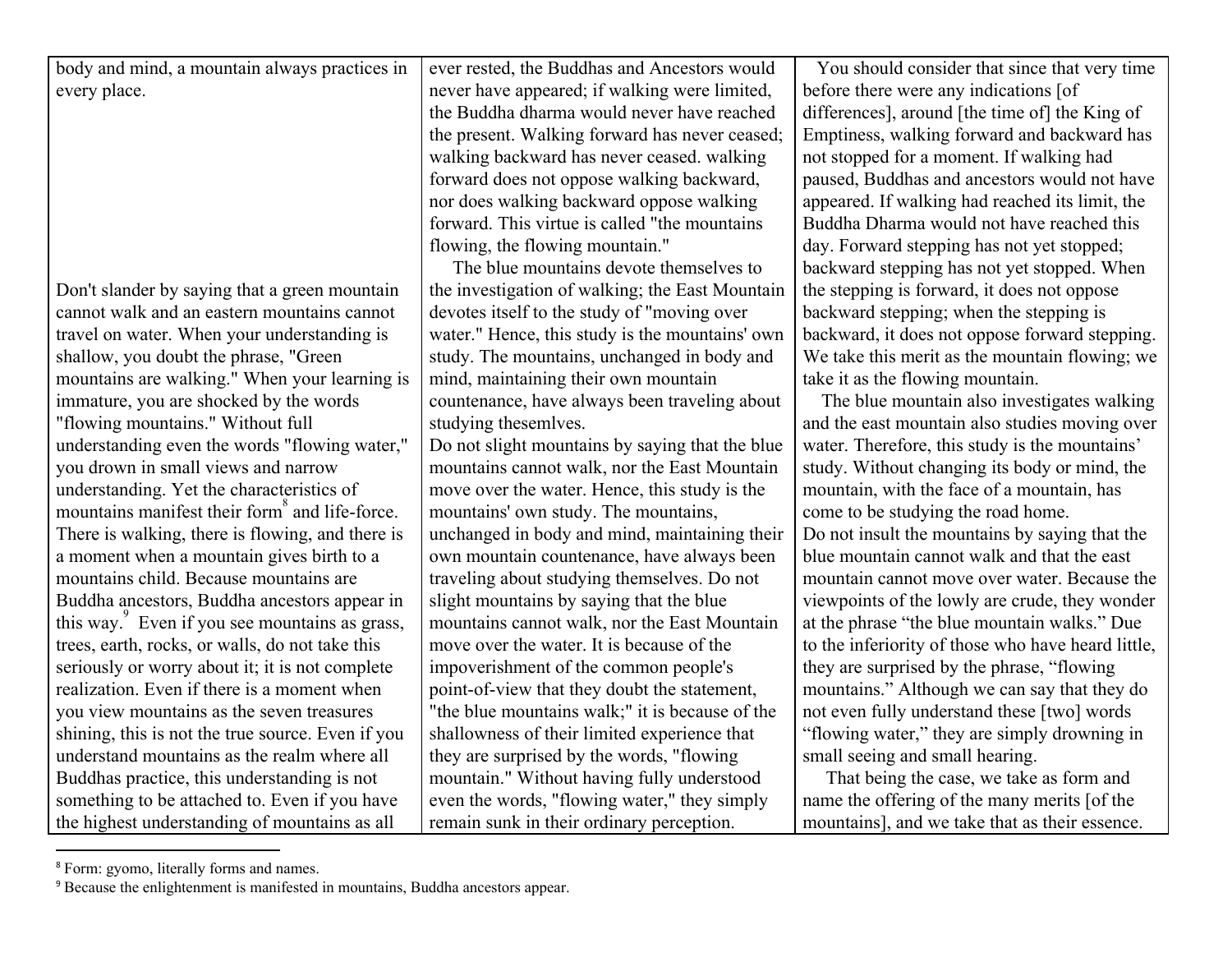| body and mind, a mountain always practices in              | ever rested, the Buddhas and Ancestors would    | You should consider that since that very time      |
|------------------------------------------------------------|-------------------------------------------------|----------------------------------------------------|
| every place.                                               | never have appeared; if walking were limited,   | before there were any indications [of              |
|                                                            | the Buddha dharma would never have reached      | differences], around [the time of] the King of     |
|                                                            | the present. Walking forward has never ceased;  | Emptiness, walking forward and backward has        |
|                                                            | walking backward has never ceased. walking      | not stopped for a moment. If walking had           |
|                                                            | forward does not oppose walking backward,       | paused, Buddhas and ancestors would not have       |
|                                                            | nor does walking backward oppose walking        | appeared. If walking had reached its limit, the    |
|                                                            | forward. This virtue is called "the mountains"  | Buddha Dharma would not have reached this          |
|                                                            | flowing, the flowing mountain."                 | day. Forward stepping has not yet stopped;         |
|                                                            | The blue mountains devote themselves to         | backward stepping has not yet stopped. When        |
| Don't slander by saying that a green mountain              | the investigation of walking; the East Mountain | the stepping is forward, it does not oppose        |
| cannot walk and an eastern mountains cannot                | devotes itself to the study of "moving over     | backward stepping; when the stepping is            |
| travel on water. When your understanding is                | water." Hence, this study is the mountains' own | backward, it does not oppose forward stepping.     |
| shallow, you doubt the phrase, "Green                      | study. The mountains, unchanged in body and     | We take this merit as the mountain flowing; we     |
| mountains are walking." When your learning is              | mind, maintaining their own mountain            | take it as the flowing mountain.                   |
| immature, you are shocked by the words                     | countenance, have always been traveling about   | The blue mountain also investigates walking        |
| "flowing mountains." Without full                          | studying thesemlyes.                            | and the east mountain also studies moving over     |
| understanding even the words "flowing water,"              | Do not slight mountains by saying that the blue | water. Therefore, this study is the mountains'     |
| you drown in small views and narrow                        | mountains cannot walk, nor the East Mountain    | study. Without changing its body or mind, the      |
| understanding. Yet the characteristics of                  | move over the water. Hence, this study is the   | mountain, with the face of a mountain, has         |
| mountains manifest their form <sup>°</sup> and life-force. | mountains' own study. The mountains,            | come to be studying the road home.                 |
| There is walking, there is flowing, and there is           | unchanged in body and mind, maintaining their   | Do not insult the mountains by saying that the     |
| a moment when a mountain gives birth to a                  | own mountain countenance, have always been      | blue mountain cannot walk and that the east        |
| mountains child. Because mountains are                     | traveling about studying themselves. Do not     | mountain cannot move over water. Because the       |
| Buddha ancestors, Buddha ancestors appear in               | slight mountains by saying that the blue        | viewpoints of the lowly are crude, they wonder     |
| this way. Even if you see mountains as grass,              | mountains cannot walk, nor the East Mountain    | at the phrase "the blue mountain walks." Due       |
| trees, earth, rocks, or walls, do not take this            | move over the water. It is because of the       | to the inferiority of those who have heard little, |
| seriously or worry about it; it is not complete            | impoverishment of the common people's           | they are surprised by the phrase, "flowing         |
| realization. Even if there is a moment when                | point-of-view that they doubt the statement,    | mountains." Although we can say that they do       |
| you view mountains as the seven treasures                  | "the blue mountains walk;" it is because of the | not even fully understand these [two] words        |
| shining, this is not the true source. Even if you          | shallowness of their limited experience that    | "flowing water," they are simply drowning in       |
| understand mountains as the realm where all                | they are surprised by the words, "flowing"      | small seeing and small hearing.                    |
| Buddhas practice, this understanding is not                | mountain." Without having fully understood      | That being the case, we take as form and           |
| something to be attached to. Even if you have              | even the words, "flowing water," they simply    | name the offering of the many merits [of the       |
| the highest understanding of mountains as all              | remain sunk in their ordinary perception.       | mountains], and we take that as their essence.     |

<sup>&</sup>lt;sup>8</sup> Form: gyomo, literally forms and names.

<sup>&</sup>lt;sup>9</sup> Because the enlightenment is manifested in mountains, Buddha ancestors appear.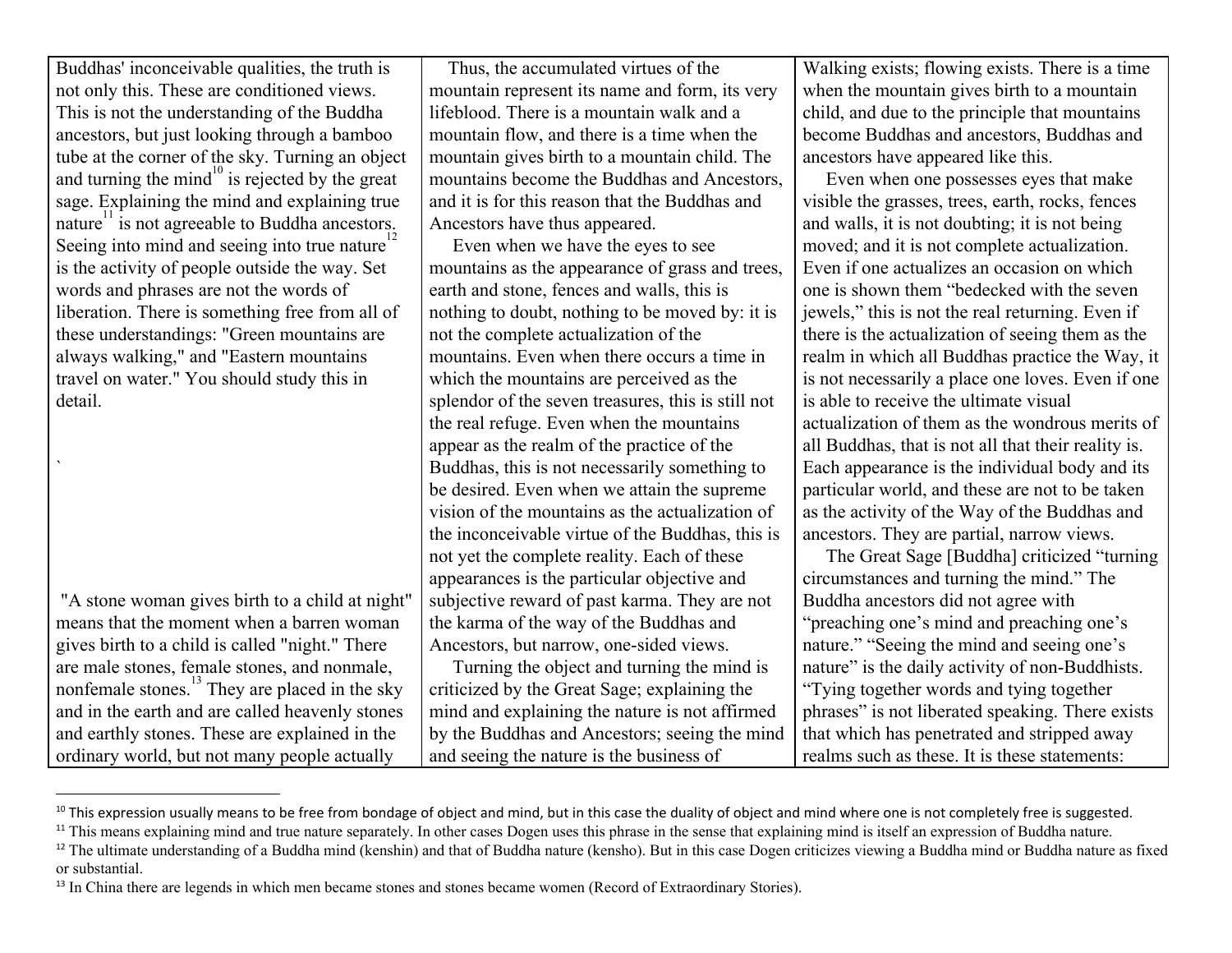Buddhas' inconceivable qualities, the truth is not only this. These are conditioned views. This is not the understanding of the Buddha ancestors, but just looking through a bamboo tube at the corner of the sky. Turning an object and turning the mind $^{10}$  is rejected by the great sage. Explaining the mind and explaining true nature $\frac{1}{1}$  is not agreeable to Buddha ancestors. Seeing into mind and seeing into true nature<sup>12</sup> is the activity of people outside the way. Set words and phrases are not the words of liberation. There is something free from all of these understandings: "Green mountains are always walking," and "Eastern mountains travel on water." You should study this in detail.

`

 "A stone woman gives birth to a child at night" means that the moment when a barren woman gives birth to a child is called "night." There are male stones, female stones, and nonmale, nonfemale stones. $\frac{13}{3}$  They are placed in the sky and in the earth and are called heavenly stones and earthly stones. These are explained in the ordinary world, but not many people actually

 Thus, the accumulated virtues of the mountain represent its name and form, its very lifeblood. There is a mountain walk and a mountain flow, and there is a time when the mountain gives birth to a mountain child. The mountains become the Buddhas and Ancestors, and it is for this reason that the Buddhas and Ancestors have thus appeared.

 Even when we have the eyes to see mountains as the appearance of grass and trees, earth and stone, fences and walls, this is nothing to doubt, nothing to be moved by: it is not the complete actualization of the mountains. Even when there occurs a time in which the mountains are perceived as the splendor of the seven treasures, this is still not the real refuge. Even when the mountains appear as the realm of the practice of the Buddhas, this is not necessarily something to be desired. Even when we attain the supreme vision of the mountains as the actualization of the inconceivable virtue of the Buddhas, this is not yet the complete reality. Each of these appearances is the particular objective and subjective reward of past karma. They are not the karma of the way of the Buddhas and Ancestors, but narrow, one-sided views.

 Turning the object and turning the mind is criticized by the Great Sage; explaining the mind and explaining the nature is not affirmed by the Buddhas and Ancestors; seeing the mind and seeing the nature is the business of

Walking exists; flowing exists. There is a time when the mountain gives birth to a mountain child, and due to the principle that mountains become Buddhas and ancestors, Buddhas and ancestors have appeared like this.

 Even when one possesses eyes that make visible the grasses, trees, earth, rocks, fences and walls, it is not doubting; it is not being moved; and it is not complete actualization. Even if one actualizes an occasion on which one is shown them "bedecked with the seven jewels," this is not the real returning. Even if there is the actualization of seeing them as the realm in which all Buddhas practice the Way, it is not necessarily a place one loves. Even if one is able to receive the ultimate visual actualization of them as the wondrous merits of all Buddhas, that is not all that their reality is. Each appearance is the individual body and its particular world, and these are not to be taken as the activity of the Way of the Buddhas and ancestors. They are partial, narrow views.

 The Great Sage [Buddha] criticized "turning circumstances and turning the mind." The Buddha ancestors did not agree with "preaching one's mind and preaching one's nature." "Seeing the mind and seeing one's nature" is the daily activity of non-Buddhists. "Tying together words and tying together phrases" is not liberated speaking. There exists that which has penetrated and stripped away realms such as these. It is these statements:

 $10$  This expression usually means to be free from bondage of object and mind, but in this case the duality of object and mind where one is not completely free is suggested.

<sup>&</sup>lt;sup>11</sup> This means explaining mind and true nature separately. In other cases Dogen uses this phrase in the sense that explaining mind is itself an expression of Buddha nature.

<sup>&</sup>lt;sup>12</sup> The ultimate understanding of a Buddha mind (kenshin) and that of Buddha nature (kensho). But in this case Dogen criticizes viewing a Buddha mind or Buddha nature as fixed or substantial.

<sup>&</sup>lt;sup>13</sup> In China there are legends in which men became stones and stones became women (Record of Extraordinary Stories).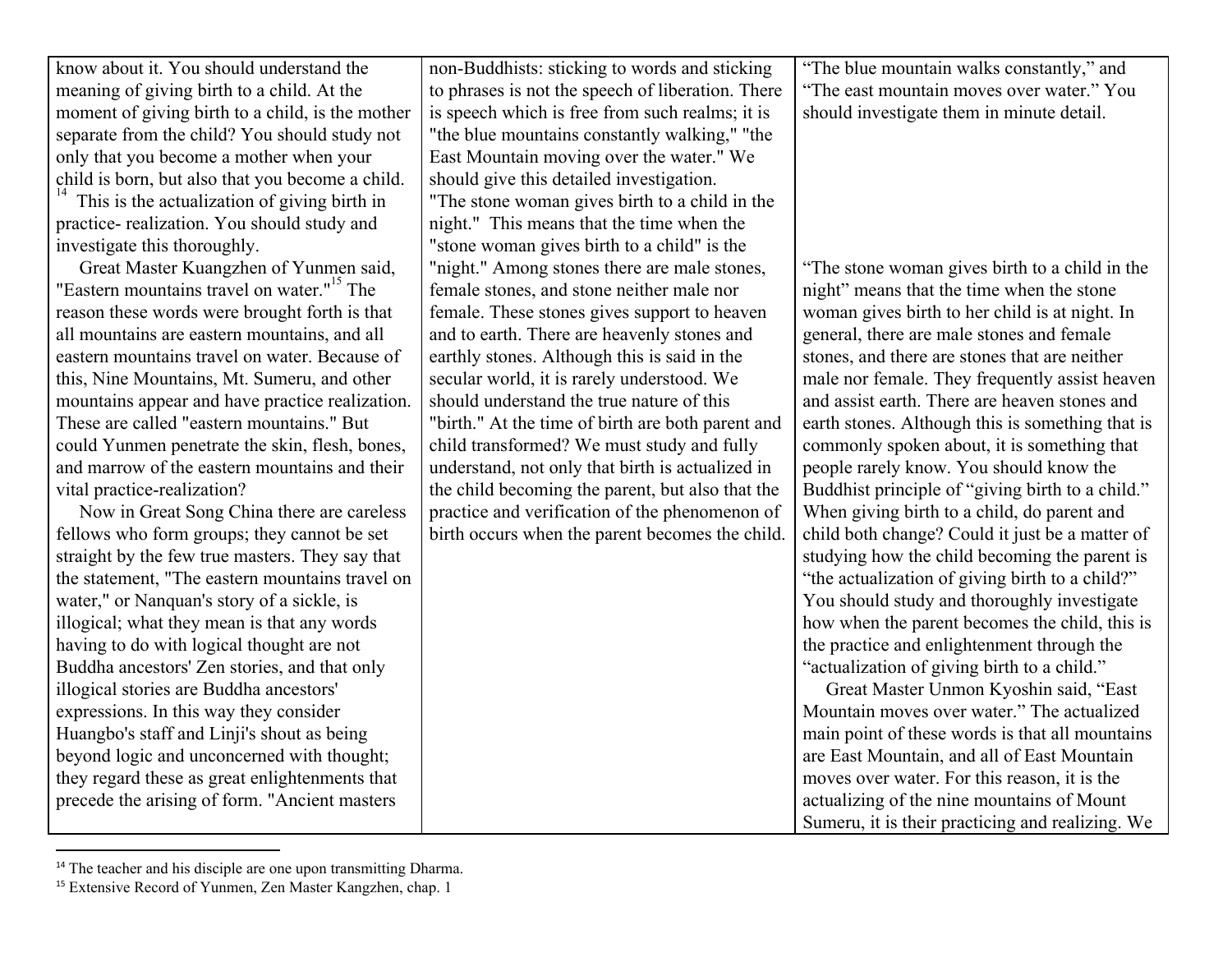know about it. You should understand the meaning of giving birth to a child. At the moment of giving birth to a child, is the mother separate from the child? You should study not only that you become a mother when your child is born, but also that you become a child.

This is the actualization of giving birth in practice- realization. You should study and investigate this thoroughly.

 Great Master Kuangzhen of Yunmen said, "Eastern mountains travel on water."<sup>15</sup> The reason these words were brought forth is that all mountains are eastern mountains, and all eastern mountains travel on water. Because of this, Nine Mountains, Mt. Sumeru, and other mountains appear and have practice realization. These are called "eastern mountains." But could Yunmen penetrate the skin, flesh, bones, and marrow of the eastern mountains and their vital practice-realization?

 Now in Great Song China there are careless fellows who form groups; they cannot be set straight by the few true masters. They say that the statement, "The eastern mountains travel on water," or Nanquan's story of a sickle, is illogical; what they mean is that any words having to do with logical thought are not Buddha ancestors' Zen stories, and that only illogical stories are Buddha ancestors' expressions. In this way they consider Huangbo's staff and Linji's shout as being beyond logic and unconcerned with thought; they regard these as great enlightenments that precede the arising of form. "Ancient masters

non-Buddhists: sticking to words and sticking to phrases is not the speech of liberation. There is speech which is free from such realms; it is "the blue mountains constantly walking," "the East Mountain moving over the water." We should give this detailed investigation. "The stone woman gives birth to a child in the night." This means that the time when the "stone woman gives birth to a child" is the "night." Among stones there are male stones, female stones, and stone neither male nor female. These stones gives support to heaven and to earth. There are heavenly stones and earthly stones. Although this is said in the secular world, it is rarely understood. We should understand the true nature of this "birth." At the time of birth are both parent and child transformed? We must study and fully understand, not only that birth is actualized in the child becoming the parent, but also that the practice and verification of the phenomenon of birth occurs when the parent becomes the child.

"The blue mountain walks constantly," and "The east mountain moves over water." You should investigate them in minute detail.

"The stone woman gives birth to a child in the night" means that the time when the stone woman gives birth to her child is at night. In general, there are male stones and female stones, and there are stones that are neither male nor female. They frequently assist heaven and assist earth. There are heaven stones and earth stones. Although this is something that is commonly spoken about, it is something that people rarely know. You should know the Buddhist principle of "giving birth to a child." When giving birth to a child, do parent and child both change? Could it just be a matter of studying how the child becoming the parent is "the actualization of giving birth to a child?" You should study and thoroughly investigate how when the parent becomes the child, this is the practice and enlightenment through the "actualization of giving birth to a child."

 Great Master Unmon Kyoshin said, "East Mountain moves over water." The actualized main point of these words is that all mountains are East Mountain, and all of East Mountain moves over water. For this reason, it is the actualizing of the nine mountains of Mount Sumeru, it is their practicing and realizing. We

<sup>&</sup>lt;sup>14</sup> The teacher and his disciple are one upon transmitting Dharma.

<sup>15</sup> Extensive Record of Yunmen, Zen Master Kangzhen, chap. 1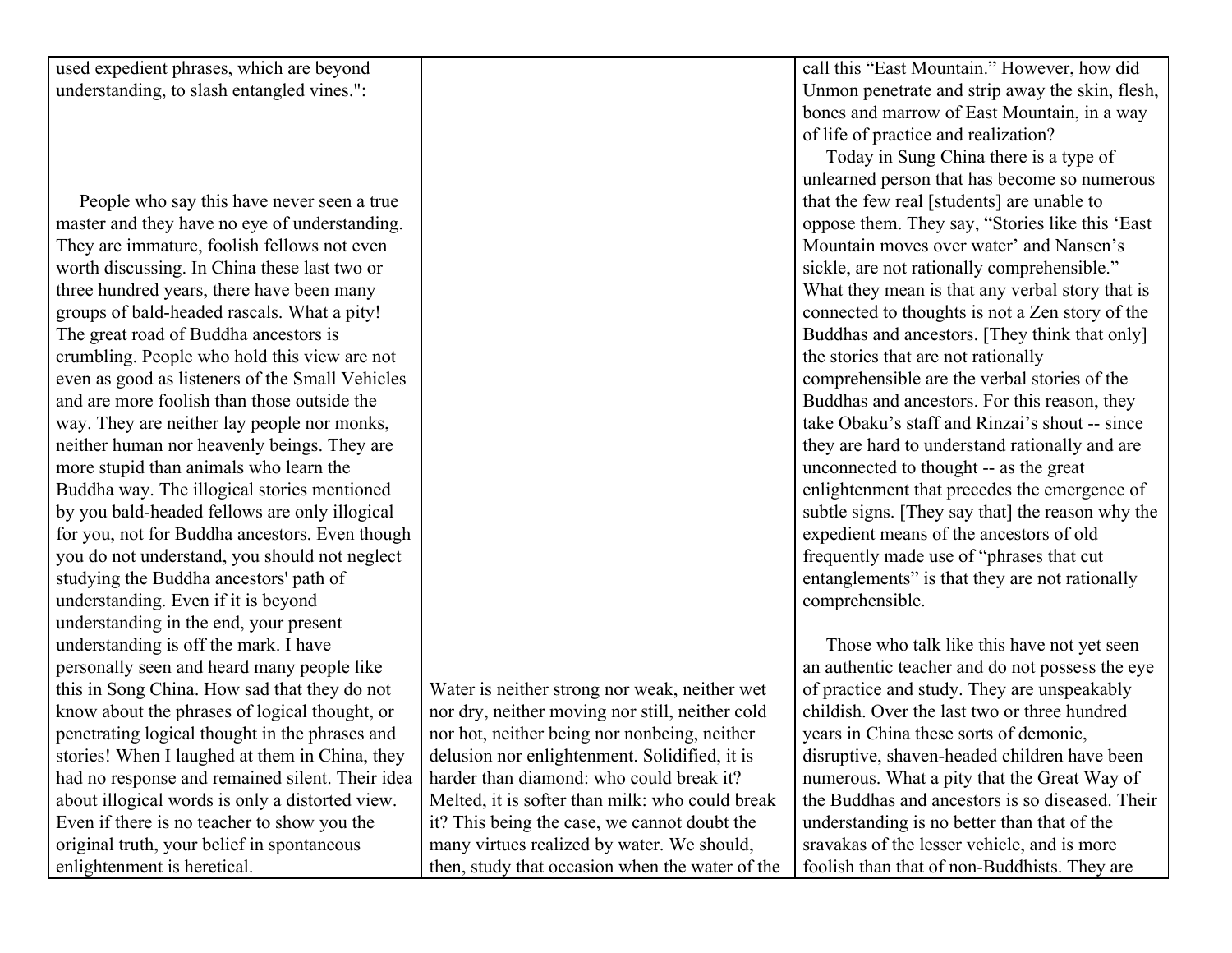used expedient phrases, which are beyond understanding, to slash entangled vines.":

 People who say this have never seen a true master and they have no eye of understanding. They are immature, foolish fellows not even worth discussing. In China these last two or three hundred years, there have been many groups of bald-headed rascals. What a pity! The great road of Buddha ancestors is crumbling. People who hold this view are not even as good as listeners of the Small Vehicles and are more foolish than those outside the way. They are neither lay people nor monks, neither human nor heavenly beings. They are more stupid than animals who learn the Buddha way. The illogical stories mentioned by you bald-headed fellows are only illogical for you, not for Buddha ancestors. Even though you do not understand, you should not neglect studying the Buddha ancestors' path of understanding. Even if it is beyond understanding in the end, your present understanding is off the mark. I have personally seen and heard many people like this in Song China. How sad that they do not know about the phrases of logical thought, or penetrating logical thought in the phrases and stories! When I laughed at them in China, they had no response and remained silent. Their idea about illogical words is only a distorted view. Even if there is no teacher to show you the original truth, your belief in spontaneous enlightenment is heretical.

Water is neither strong nor weak, neither wet nor dry, neither moving nor still, neither cold nor hot, neither being nor nonbeing, neither delusion nor enlightenment. Solidified, it is harder than diamond: who could break it? Melted, it is softer than milk: who could break it? This being the case, we cannot doubt the many virtues realized by water. We should, then, study that occasion when the water of the

call this "East Mountain." However, how did Unmon penetrate and strip away the skin, flesh, bones and marrow of East Mountain, in a way of life of practice and realization?

 Today in Sung China there is a type of unlearned person that has become so numerous that the few real [students] are unable to oppose them. They say, "Stories like this 'East Mountain moves over water' and Nansen's sickle, are not rationally comprehensible." What they mean is that any verbal story that is connected to thoughts is not a Zen story of the Buddhas and ancestors. [They think that only] the stories that are not rationally comprehensible are the verbal stories of the Buddhas and ancestors. For this reason, they take Obaku's staff and Rinzai's shout -- since they are hard to understand rationally and are unconnected to thought -- as the great enlightenment that precedes the emergence of subtle signs. [They say that] the reason why the expedient means of the ancestors of old frequently made use of "phrases that cut entanglements" is that they are not rationally comprehensible.

 Those who talk like this have not yet seen an authentic teacher and do not possess the eye of practice and study. They are unspeakably childish. Over the last two or three hundred years in China these sorts of demonic, disruptive, shaven-headed children have been numerous. What a pity that the Great Way of the Buddhas and ancestors is so diseased. Their understanding is no better than that of the sravakas of the lesser vehicle, and is more foolish than that of non-Buddhists. They are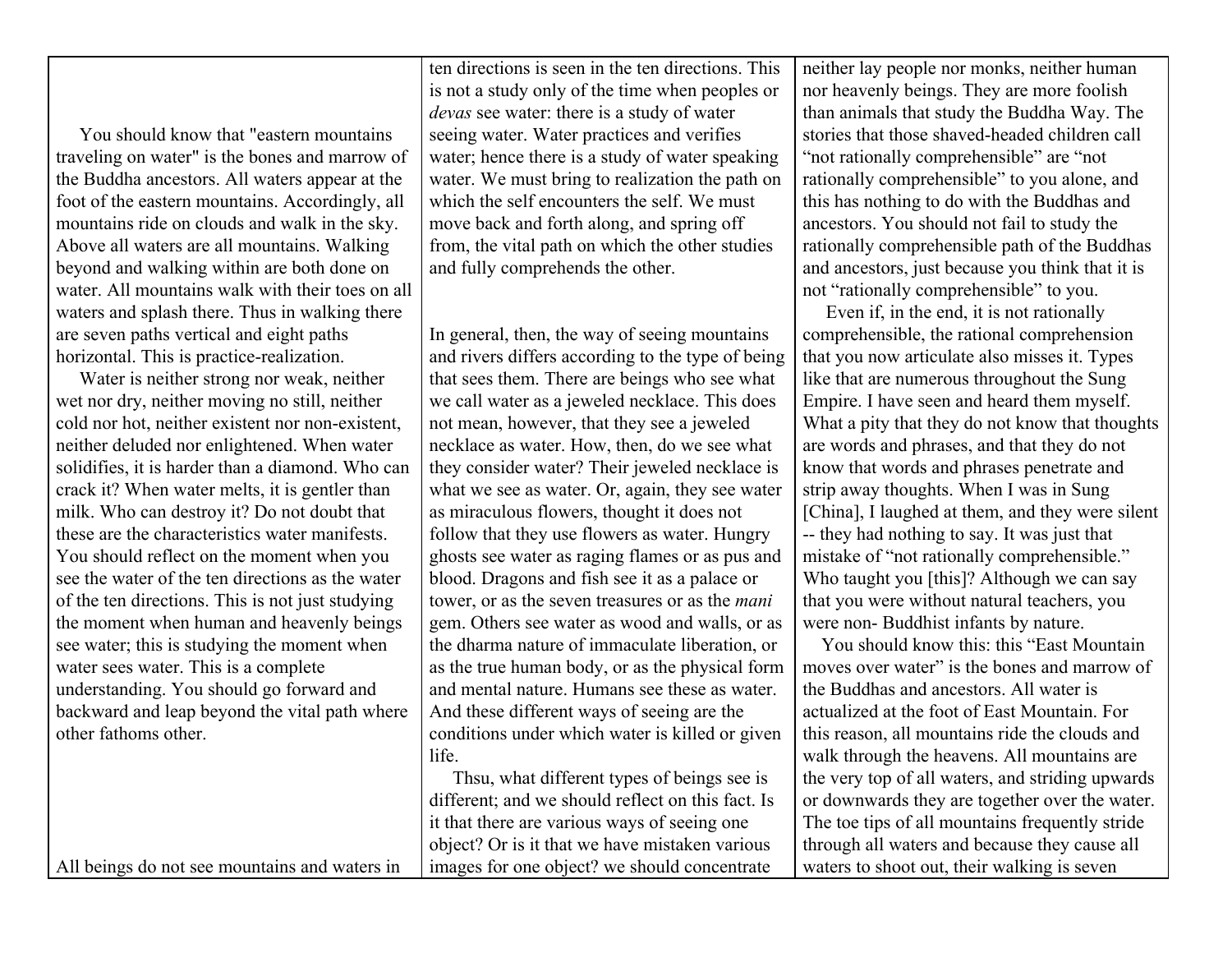You should know that "eastern mountains traveling on water" is the bones and marrow of the Buddha ancestors. All waters appear at the foot of the eastern mountains. Accordingly, all mountains ride on clouds and walk in the sky. Above all waters are all mountains. Walking beyond and walking within are both done on water. All mountains walk with their toes on all waters and splash there. Thus in walking there are seven paths vertical and eight paths horizontal. This is practice-realization.

 Water is neither strong nor weak, neither wet nor dry, neither moving no still, neither cold nor hot, neither existent nor non-existent, neither deluded nor enlightened. When water solidifies, it is harder than a diamond. Who can crack it? When water melts, it is gentler than milk. Who can destroy it? Do not doubt that these are the characteristics water manifests. You should reflect on the moment when you see the water of the ten directions as the water of the ten directions. This is not just studying the moment when human and heavenly beings see water; this is studying the moment when water sees water. This is a complete understanding. You should go forward and backward and leap beyond the vital path where other fathoms other.

All beings do not see mountains and waters in

ten directions is seen in the ten directions. This is not a study only of the time when peoples or *devas* see water: there is a study of water seeing water. Water practices and verifies water; hence there is a study of water speaking water. We must bring to realization the path on which the self encounters the self. We must move back and forth along, and spring off from, the vital path on which the other studies and fully comprehends the other.

In general, then, the way of seeing mountains and rivers differs according to the type of being that sees them. There are beings who see what we call water as a jeweled necklace. This does not mean, however, that they see a jeweled necklace as water. How, then, do we see what they consider water? Their jeweled necklace is what we see as water. Or, again, they see water as miraculous flowers, thought it does not follow that they use flowers as water. Hungry ghosts see water as raging flames or as pus and blood. Dragons and fish see it as a palace or tower, or as the seven treasures or as the *mani* gem. Others see water as wood and walls, or as the dharma nature of immaculate liberation, or as the true human body, or as the physical form and mental nature. Humans see these as water. And these different ways of seeing are the conditions under which water is killed or given life.

 Thsu, what different types of beings see is different; and we should reflect on this fact. Is it that there are various ways of seeing one object? Or is it that we have mistaken various images for one object? we should concentrate

neither lay people nor monks, neither human nor heavenly beings. They are more foolish than animals that study the Buddha Way. The stories that those shaved-headed children call "not rationally comprehensible" are "not rationally comprehensible" to you alone, and this has nothing to do with the Buddhas and ancestors. You should not fail to study the rationally comprehensible path of the Buddhas and ancestors, just because you think that it is not "rationally comprehensible" to you.

 Even if, in the end, it is not rationally comprehensible, the rational comprehension that you now articulate also misses it. Types like that are numerous throughout the Sung Empire. I have seen and heard them myself. What a pity that they do not know that thoughts are words and phrases, and that they do not know that words and phrases penetrate and strip away thoughts. When I was in Sung [China], I laughed at them, and they were silent -- they had nothing to say. It was just that mistake of "not rationally comprehensible." Who taught you [this]? Although we can say that you were without natural teachers, you were non- Buddhist infants by nature.

 You should know this: this "East Mountain moves over water" is the bones and marrow of the Buddhas and ancestors. All water is actualized at the foot of East Mountain. For this reason, all mountains ride the clouds and walk through the heavens. All mountains are the very top of all waters, and striding upwards or downwards they are together over the water. The toe tips of all mountains frequently stride through all waters and because they cause all waters to shoot out, their walking is seven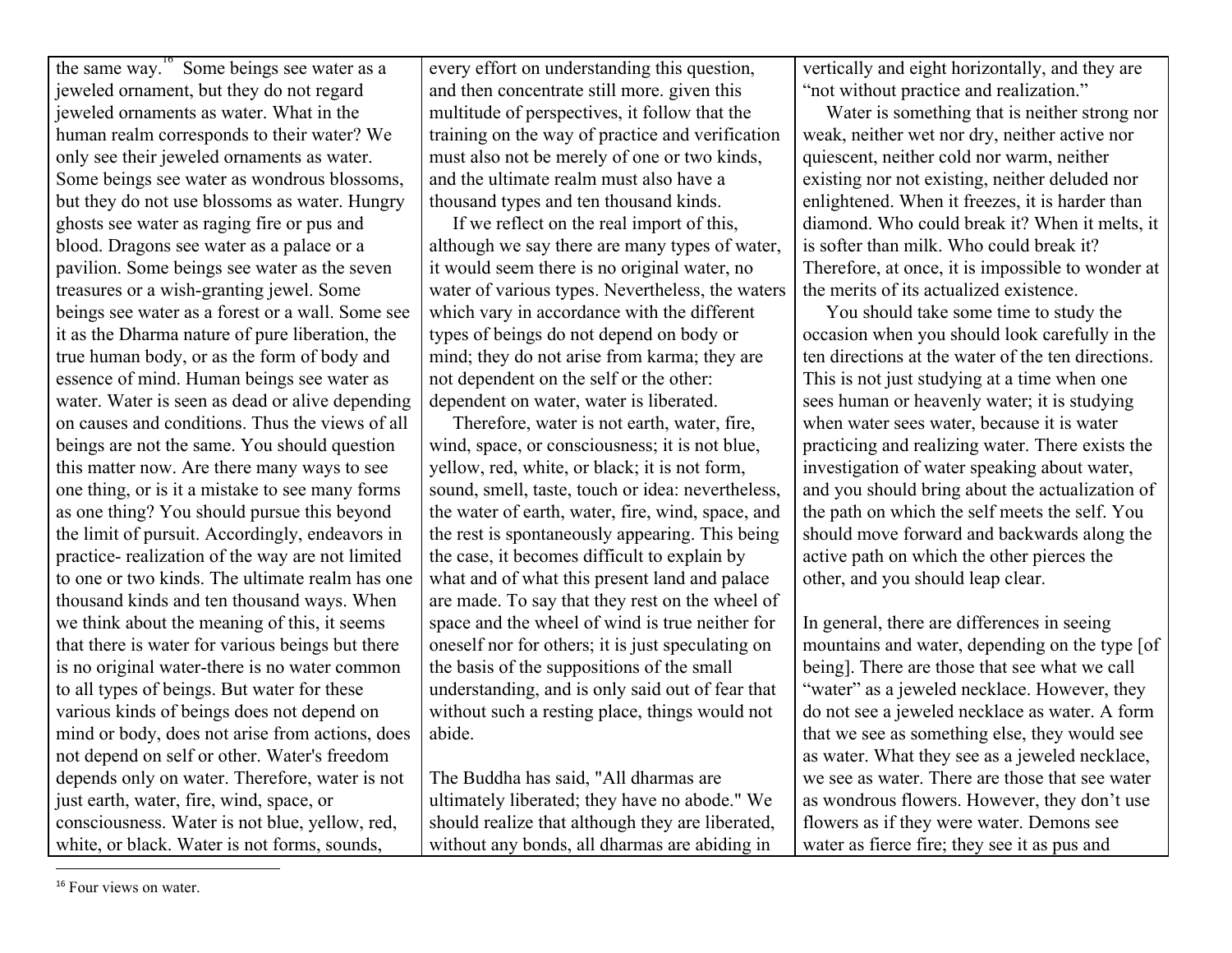the same way.  $\frac{16}{6}$  Some beings see water as a jeweled ornament, but they do not regard jeweled ornaments as water. What in the human realm corresponds to their water? We only see their jeweled ornaments as water. Some beings see water as wondrous blossoms, but they do not use blossoms as water. Hungry ghosts see water as raging fire or pus and blood. Dragons see water as a palace or a pavilion. Some beings see water as the seven treasures or a wish-granting jewel. Some beings see water as a forest or a wall. Some see it as the Dharma nature of pure liberation, the true human body, or as the form of body and essence of mind. Human beings see water as water. Water is seen as dead or alive depending on causes and conditions. Thus the views of all beings are not the same. You should question this matter now. Are there many ways to see one thing, or is it a mistake to see many forms as one thing? You should pursue this beyond the limit of pursuit. Accordingly, endeavors in practice- realization of the way are not limited to one or two kinds. The ultimate realm has one thousand kinds and ten thousand ways. When we think about the meaning of this, it seems that there is water for various beings but there is no original water-there is no water common to all types of beings. But water for these various kinds of beings does not depend on mind or body, does not arise from actions, does not depend on self or other. Water's freedom depends only on water. Therefore, water is not just earth, water, fire, wind, space, or consciousness. Water is not blue, yellow, red, white, or black. Water is not forms, sounds,

every effort on understanding this question, and then concentrate still more. given this multitude of perspectives, it follow that the training on the way of practice and verification must also not be merely of one or two kinds, and the ultimate realm must also have a thousand types and ten thousand kinds.

 If we reflect on the real import of this, although we say there are many types of water, it would seem there is no original water, no water of various types. Nevertheless, the waters which vary in accordance with the different types of beings do not depend on body or mind; they do not arise from karma; they are not dependent on the self or the other: dependent on water, water is liberated.

 Therefore, water is not earth, water, fire, wind, space, or consciousness; it is not blue, yellow, red, white, or black; it is not form, sound, smell, taste, touch or idea: nevertheless, the water of earth, water, fire, wind, space, and the rest is spontaneously appearing. This being the case, it becomes difficult to explain by what and of what this present land and palace are made. To say that they rest on the wheel of space and the wheel of wind is true neither for oneself nor for others; it is just speculating on the basis of the suppositions of the small understanding, and is only said out of fear that without such a resting place, things would not abide.

The Buddha has said, "All dharmas are ultimately liberated; they have no abode." We should realize that although they are liberated, without any bonds, all dharmas are abiding in

vertically and eight horizontally, and they are "not without practice and realization."

 Water is something that is neither strong nor weak, neither wet nor dry, neither active nor quiescent, neither cold nor warm, neither existing nor not existing, neither deluded nor enlightened. When it freezes, it is harder than diamond. Who could break it? When it melts, it is softer than milk. Who could break it? Therefore, at once, it is impossible to wonder at the merits of its actualized existence.

 You should take some time to study the occasion when you should look carefully in the ten directions at the water of the ten directions. This is not just studying at a time when one sees human or heavenly water; it is studying when water sees water, because it is water practicing and realizing water. There exists the investigation of water speaking about water, and you should bring about the actualization of the path on which the self meets the self. You should move forward and backwards along the active path on which the other pierces the other, and you should leap clear.

In general, there are differences in seeing mountains and water, depending on the type [of being]. There are those that see what we call "water" as a jeweled necklace. However, they do not see a jeweled necklace as water. A form that we see as something else, they would see as water. What they see as a jeweled necklace, we see as water. There are those that see water as wondrous flowers. However, they don't use flowers as if they were water. Demons see water as fierce fire; they see it as pus and

<sup>&</sup>lt;sup>16</sup> Four views on water.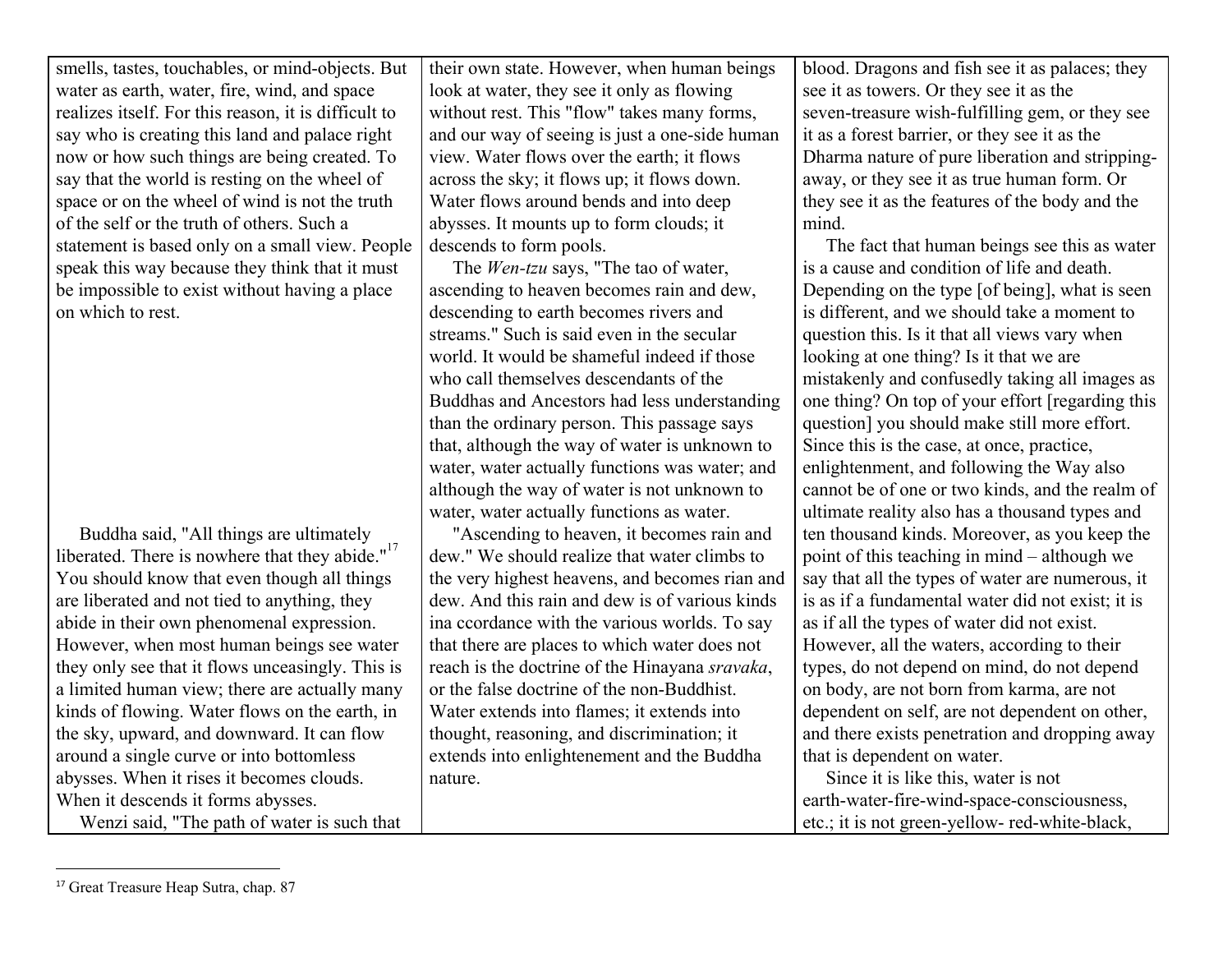smells, tastes, touchables, or mind-objects. But water as earth, water, fire, wind, and space realizes itself. For this reason, it is difficult to say who is creating this land and palace right now or how such things are being created. To say that the world is resting on the wheel of space or on the wheel of wind is not the truth of the self or the truth of others. Such a statement is based only on a small view. People speak this way because they think that it must be impossible to exist without having a place on which to rest.

 Buddha said, "All things are ultimately liberated. There is nowhere that they abide." $17$ You should know that even though all things are liberated and not tied to anything, they abide in their own phenomenal expression. However, when most human beings see water they only see that it flows unceasingly. This is a limited human view; there are actually many kinds of flowing. Water flows on the earth, in the sky, upward, and downward. It can flow around a single curve or into bottomless abysses. When it rises it becomes clouds. When it descends it forms abysses.

Wenzi said, "The path of water is such that

their own state. However, when human beings look at water, they see it only as flowing without rest. This "flow" takes many forms, and our way of seeing is just a one-side human view. Water flows over the earth; it flows across the sky; it flows up; it flows down. Water flows around bends and into deep abysses. It mounts up to form clouds; it descends to form pools.

 The *Wen-tzu* says, "The tao of water, ascending to heaven becomes rain and dew, descending to earth becomes rivers and streams." Such is said even in the secular world. It would be shameful indeed if those who call themselves descendants of the Buddhas and Ancestors had less understanding than the ordinary person. This passage says that, although the way of water is unknown to water, water actually functions was water; and although the way of water is not unknown to water, water actually functions as water.

 "Ascending to heaven, it becomes rain and dew." We should realize that water climbs to the very highest heavens, and becomes rian and dew. And this rain and dew is of various kinds ina ccordance with the various worlds. To say that there are places to which water does not reach is the doctrine of the Hinayana *sravaka*, or the false doctrine of the non-Buddhist. Water extends into flames; it extends into thought, reasoning, and discrimination; it extends into enlightenement and the Buddha nature.

blood. Dragons and fish see it as palaces; they see it as towers. Or they see it as the seven-treasure wish-fulfilling gem, or they see it as a forest barrier, or they see it as the Dharma nature of pure liberation and strippingaway, or they see it as true human form. Or they see it as the features of the body and the mind.

 The fact that human beings see this as water is a cause and condition of life and death. Depending on the type [of being], what is seen is different, and we should take a moment to question this. Is it that all views vary when looking at one thing? Is it that we are mistakenly and confusedly taking all images as one thing? On top of your effort [regarding this question] you should make still more effort. Since this is the case, at once, practice, enlightenment, and following the Way also cannot be of one or two kinds, and the realm of ultimate reality also has a thousand types and ten thousand kinds. Moreover, as you keep the point of this teaching in mind – although we say that all the types of water are numerous, it is as if a fundamental water did not exist; it is as if all the types of water did not exist. However, all the waters, according to their types, do not depend on mind, do not depend on body, are not born from karma, are not dependent on self, are not dependent on other, and there exists penetration and dropping away that is dependent on water.

 Since it is like this, water is not earth-water-fire-wind-space-consciousness, etc.; it is not green-yellow- red-white-black,

<sup>&</sup>lt;sup>17</sup> Great Treasure Heap Sutra, chap. 87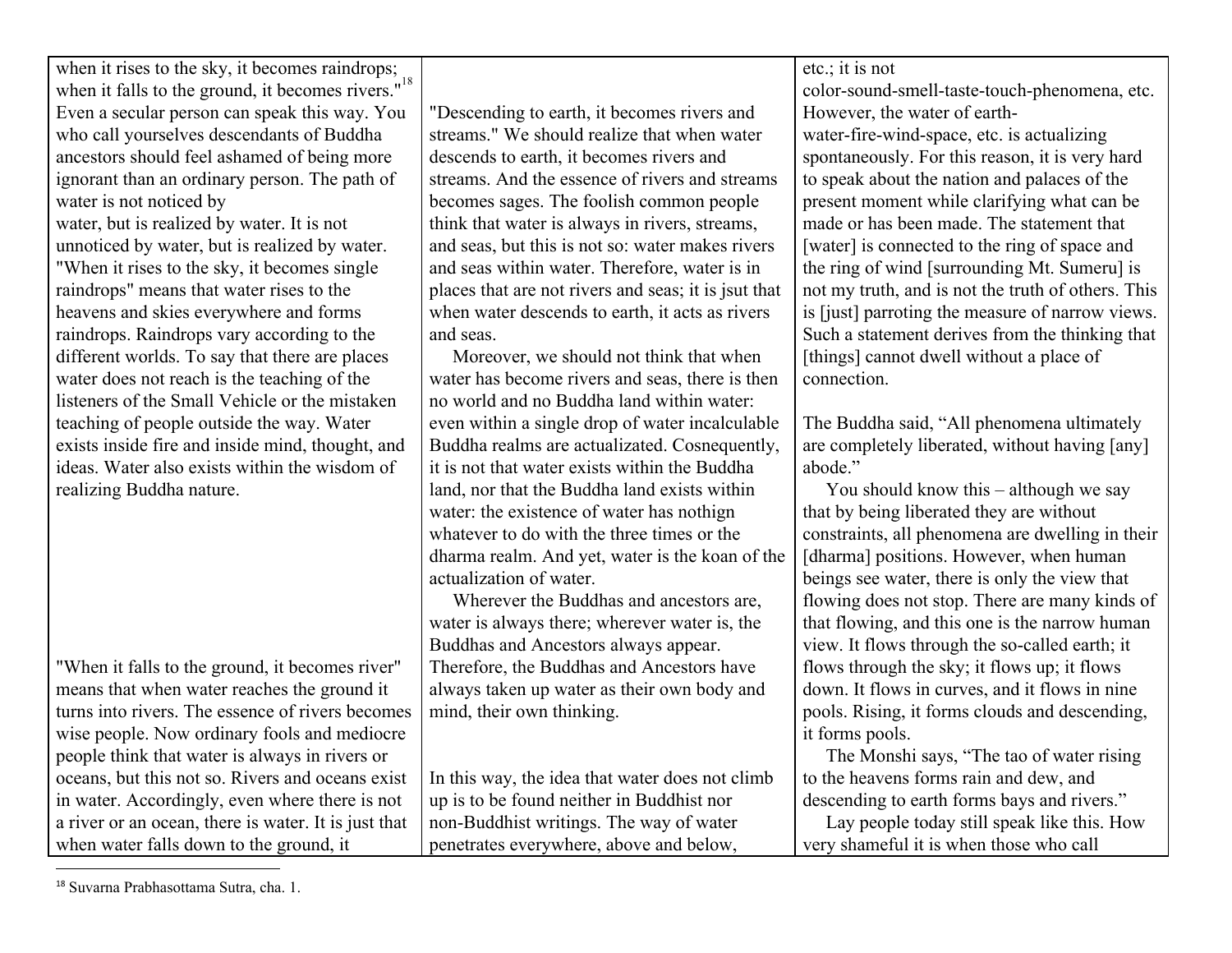when it rises to the sky, it becomes raindrops; when it falls to the ground, it becomes rivers. $18$ <sup>18</sup> Even a secular person can speak this way. You

who call yourselves descendants of Buddha ancestors should feel ashamed of being more ignorant than an ordinary person. The path of water is not noticed by

water, but is realized by water. It is not unnoticed by water, but is realized by water. "When it rises to the sky, it becomes single raindrops" means that water rises to the heavens and skies everywhere and forms raindrops. Raindrops vary according to the different worlds. To say that there are places water does not reach is the teaching of the listeners of the Small Vehicle or the mistaken teaching of people outside the way. Water exists inside fire and inside mind, thought, and ideas. Water also exists within the wisdom of realizing Buddha nature.

"When it falls to the ground, it becomes river" means that when water reaches the ground it turns into rivers. The essence of rivers becomes wise people. Now ordinary fools and mediocre people think that water is always in rivers or oceans, but this not so. Rivers and oceans exist in water. Accordingly, even where there is not a river or an ocean, there is water. It is just that when water falls down to the ground, it

"Descending to earth, it becomes rivers and streams." We should realize that when water descends to earth, it becomes rivers and streams. And the essence of rivers and streams becomes sages. The foolish common people think that water is always in rivers, streams, and seas, but this is not so: water makes rivers and seas within water. Therefore, water is in places that are not rivers and seas; it is jsut that when water descends to earth, it acts as rivers and seas.

 Moreover, we should not think that when water has become rivers and seas, there is then no world and no Buddha land within water: even within a single drop of water incalculable Buddha realms are actualizated. Cosnequently, it is not that water exists within the Buddha land, nor that the Buddha land exists within water: the existence of water has nothign whatever to do with the three times or the dharma realm. And yet, water is the koan of the actualization of water.

 Wherever the Buddhas and ancestors are, water is always there; wherever water is, the Buddhas and Ancestors always appear. Therefore, the Buddhas and Ancestors have always taken up water as their own body and mind, their own thinking.

In this way, the idea that water does not climb up is to be found neither in Buddhist nor non-Buddhist writings. The way of water penetrates everywhere, above and below,

etc.; it is not

color-sound-smell-taste-touch-phenomena, etc. However, the water of earthwater-fire-wind-space, etc. is actualizing spontaneously. For this reason, it is very hard to speak about the nation and palaces of the present moment while clarifying what can be made or has been made. The statement that [water] is connected to the ring of space and the ring of wind [surrounding Mt. Sumeru] is not my truth, and is not the truth of others. This is [just] parroting the measure of narrow views. Such a statement derives from the thinking that [things] cannot dwell without a place of connection.

The Buddha said, "All phenomena ultimately are completely liberated, without having [any] abode"

 You should know this – although we say that by being liberated they are without constraints, all phenomena are dwelling in their [dharma] positions. However, when human beings see water, there is only the view that flowing does not stop. There are many kinds of that flowing, and this one is the narrow human view. It flows through the so-called earth; it flows through the sky; it flows up; it flows down. It flows in curves, and it flows in nine pools. Rising, it forms clouds and descending, it forms pools.

 The Monshi says, "The tao of water rising to the heavens forms rain and dew, and descending to earth forms bays and rivers."

 Lay people today still speak like this. How very shameful it is when those who call

<sup>18</sup> Suvarna Prabhasottama Sutra, cha. 1.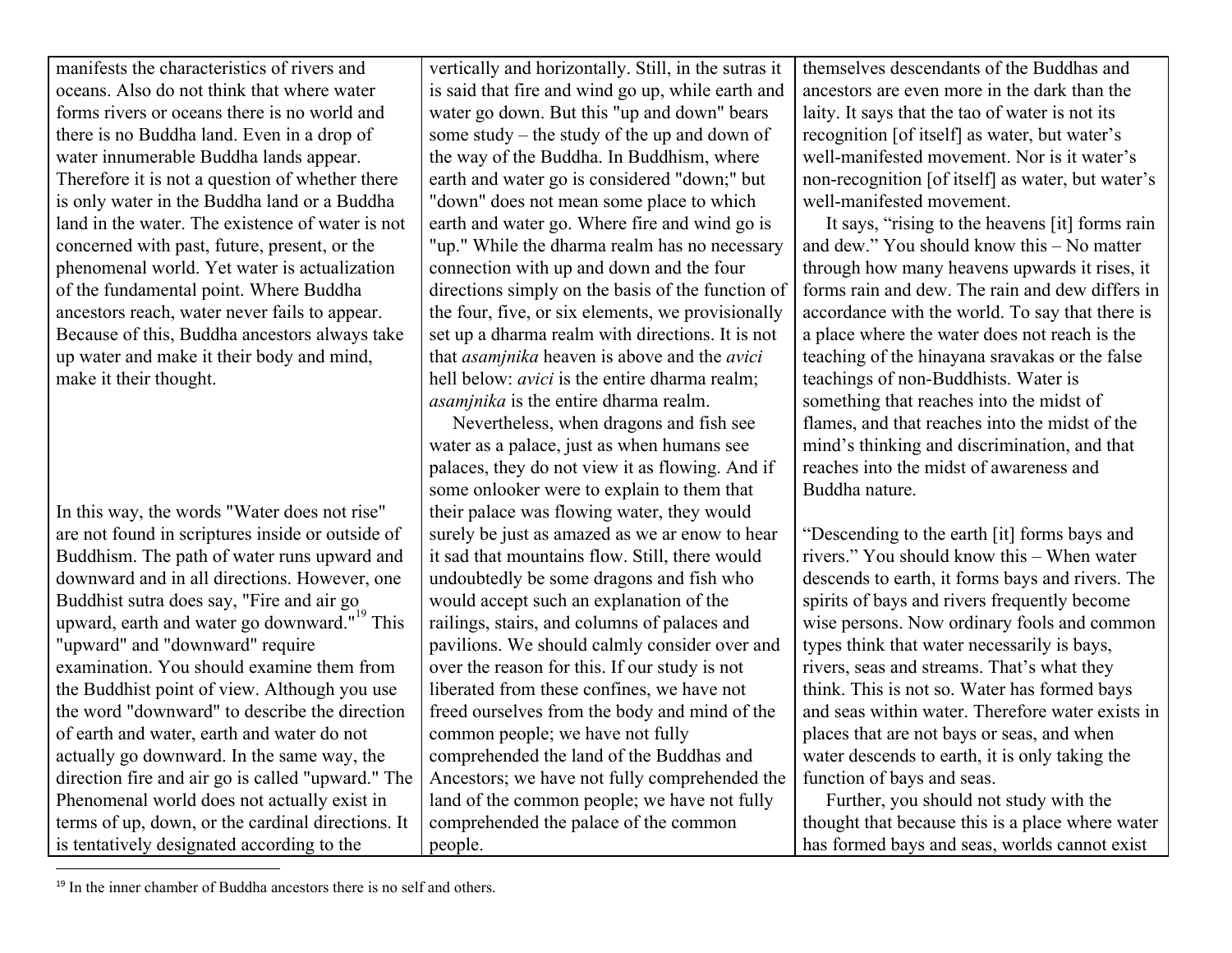manifests the characteristics of rivers and oceans. Also do not think that where water forms rivers or oceans there is no world and there is no Buddha land. Even in a drop of water innumerable Buddha lands appear. Therefore it is not a question of whether there is only water in the Buddha land or a Buddha land in the water. The existence of water is not concerned with past, future, present, or the phenomenal world. Yet water is actualization of the fundamental point. Where Buddha ancestors reach, water never fails to appear. Because of this, Buddha ancestors always take up water and make it their body and mind, make it their thought.

In this way, the words "Water does not rise" are not found in scriptures inside or outside of Buddhism. The path of water runs upward and downward and in all directions. However, one Buddhist sutra does say, "Fire and air go upward, earth and water go downward." $19^{\circ}$  This "upward" and "downward" require examination. You should examine them from the Buddhist point of view. Although you use the word "downward" to describe the direction of earth and water, earth and water do not actually go downward. In the same way, the direction fire and air go is called "upward." The Phenomenal world does not actually exist in terms of up, down, or the cardinal directions. It is tentatively designated according to the

vertically and horizontally. Still, in the sutras it is said that fire and wind go up, while earth and water go down. But this "up and down" bears some study – the study of the up and down of the way of the Buddha. In Buddhism, where earth and water go is considered "down;" but "down" does not mean some place to which earth and water go. Where fire and wind go is "up." While the dharma realm has no necessary connection with up and down and the four directions simply on the basis of the function of the four, five, or six elements, we provisionally set up a dharma realm with directions. It is not that *asamjnika* heaven is above and the *avici* hell below: *avici* is the entire dharma realm; *asamjnika* is the entire dharma realm.

 Nevertheless, when dragons and fish see water as a palace, just as when humans see palaces, they do not view it as flowing. And if some onlooker were to explain to them that their palace was flowing water, they would surely be just as amazed as we ar enow to hear it sad that mountains flow. Still, there would undoubtedly be some dragons and fish who would accept such an explanation of the railings, stairs, and columns of palaces and pavilions. We should calmly consider over and over the reason for this. If our study is not liberated from these confines, we have not freed ourselves from the body and mind of the common people; we have not fully comprehended the land of the Buddhas and Ancestors; we have not fully comprehended the land of the common people; we have not fully comprehended the palace of the common people.

themselves descendants of the Buddhas and ancestors are even more in the dark than the laity. It says that the tao of water is not its recognition [of itself] as water, but water's well-manifested movement. Nor is it water's non-recognition [of itself] as water, but water's well-manifested movement.

 It says, "rising to the heavens [it] forms rain and dew." You should know this – No matter through how many heavens upwards it rises, it forms rain and dew. The rain and dew differs in accordance with the world. To say that there is a place where the water does not reach is the teaching of the hinayana sravakas or the false teachings of non-Buddhists. Water is something that reaches into the midst of flames, and that reaches into the midst of the mind's thinking and discrimination, and that reaches into the midst of awareness and Buddha nature.

"Descending to the earth [it] forms bays and rivers." You should know this – When water descends to earth, it forms bays and rivers. The spirits of bays and rivers frequently become wise persons. Now ordinary fools and common types think that water necessarily is bays, rivers, seas and streams. That's what they think. This is not so. Water has formed bays and seas within water. Therefore water exists in places that are not bays or seas, and when water descends to earth, it is only taking the function of bays and seas.

 Further, you should not study with the thought that because this is a place where water has formed bays and seas, worlds cannot exist

 $19$  In the inner chamber of Buddha ancestors there is no self and others.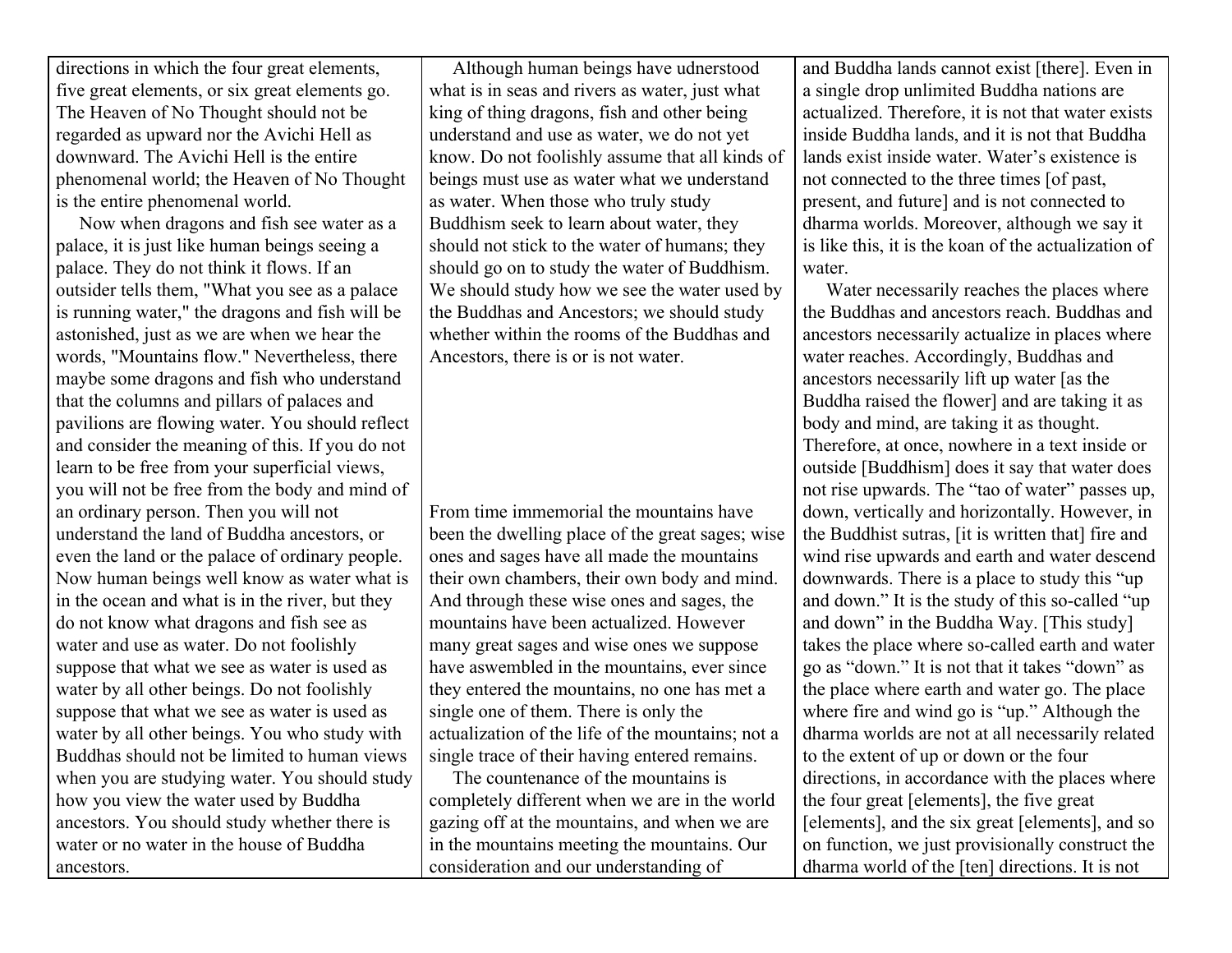directions in which the four great elements, five great elements, or six great elements go. The Heaven of No Thought should not be regarded as upward nor the Avichi Hell as downward. The Avichi Hell is the entire phenomenal world; the Heaven of No Thought is the entire phenomenal world.

 Now when dragons and fish see water as a palace, it is just like human beings seeing a palace. They do not think it flows. If an outsider tells them, "What you see as a palace is running water," the dragons and fish will be astonished, just as we are when we hear the words, "Mountains flow." Nevertheless, there maybe some dragons and fish who understand that the columns and pillars of palaces and pavilions are flowing water. You should reflect and consider the meaning of this. If you do not learn to be free from your superficial views, you will not be free from the body and mind of an ordinary person. Then you will not understand the land of Buddha ancestors, or even the land or the palace of ordinary people. Now human beings well know as water what is in the ocean and what is in the river, but they do not know what dragons and fish see as water and use as water. Do not foolishly suppose that what we see as water is used as water by all other beings. Do not foolishly suppose that what we see as water is used as water by all other beings. You who study with Buddhas should not be limited to human views when you are studying water. You should study how you view the water used by Buddha ancestors. You should study whether there is water or no water in the house of Buddha ancestors.

 Although human beings have udnerstood what is in seas and rivers as water, just what king of thing dragons, fish and other being understand and use as water, we do not yet know. Do not foolishly assume that all kinds of beings must use as water what we understand as water. When those who truly study Buddhism seek to learn about water, they should not stick to the water of humans; they should go on to study the water of Buddhism. We should study how we see the water used by the Buddhas and Ancestors; we should study whether within the rooms of the Buddhas and Ancestors, there is or is not water.

From time immemorial the mountains have been the dwelling place of the great sages; wise ones and sages have all made the mountains their own chambers, their own body and mind. And through these wise ones and sages, the mountains have been actualized. However many great sages and wise ones we suppose have aswembled in the mountains, ever since they entered the mountains, no one has met a single one of them. There is only the actualization of the life of the mountains; not a single trace of their having entered remains.

 The countenance of the mountains is completely different when we are in the world gazing off at the mountains, and when we are in the mountains meeting the mountains. Our consideration and our understanding of

and Buddha lands cannot exist [there]. Even in a single drop unlimited Buddha nations are actualized. Therefore, it is not that water exists inside Buddha lands, and it is not that Buddha lands exist inside water. Water's existence is not connected to the three times [of past, present, and future] and is not connected to dharma worlds. Moreover, although we say it is like this, it is the koan of the actualization of water

 Water necessarily reaches the places where the Buddhas and ancestors reach. Buddhas and ancestors necessarily actualize in places where water reaches. Accordingly, Buddhas and ancestors necessarily lift up water [as the Buddha raised the flower] and are taking it as body and mind, are taking it as thought. Therefore, at once, nowhere in a text inside or outside [Buddhism] does it say that water does not rise upwards. The "tao of water" passes up, down, vertically and horizontally. However, in the Buddhist sutras, [it is written that] fire and wind rise upwards and earth and water descend downwards. There is a place to study this "up and down." It is the study of this so-called "up and down" in the Buddha Way. [This study] takes the place where so-called earth and water go as "down." It is not that it takes "down" as the place where earth and water go. The place where fire and wind go is "up." Although the dharma worlds are not at all necessarily related to the extent of up or down or the four directions, in accordance with the places where the four great [elements], the five great [elements], and the six great [elements], and so on function, we just provisionally construct the dharma world of the [ten] directions. It is not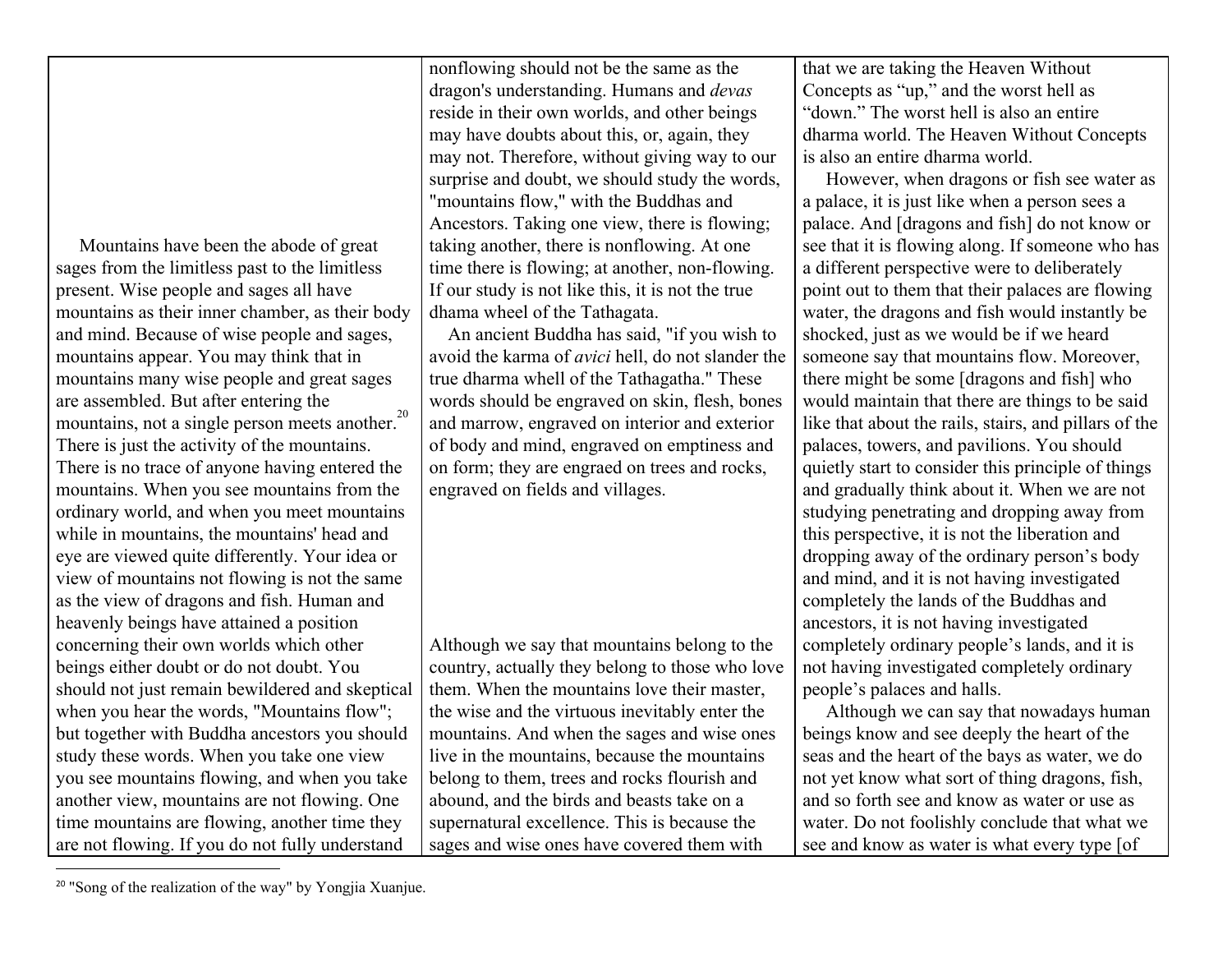Mountains have been the abode of great sages from the limitless past to the limitless present. Wise people and sages all have mountains as their inner chamber, as their body and mind. Because of wise people and sages, mountains appear. You may think that in mountains many wise people and great sages are assembled. But after entering the mountains, not a single person meets another.<sup>20</sup> There is just the activity of the mountains. There is no trace of anyone having entered the mountains. When you see mountains from the ordinary world, and when you meet mountains while in mountains, the mountains' head and eye are viewed quite differently. Your idea or view of mountains not flowing is not the same as the view of dragons and fish. Human and heavenly beings have attained a position concerning their own worlds which other beings either doubt or do not doubt. You should not just remain bewildered and skeptical when you hear the words, "Mountains flow"; but together with Buddha ancestors you should study these words. When you take one view you see mountains flowing, and when you take another view, mountains are not flowing. One time mountains are flowing, another time they are not flowing. If you do not fully understand

nonflowing should not be the same as the dragon's understanding. Humans and *devas* reside in their own worlds, and other beings may have doubts about this, or, again, they may not. Therefore, without giving way to our surprise and doubt, we should study the words, "mountains flow," with the Buddhas and Ancestors. Taking one view, there is flowing; taking another, there is nonflowing. At one time there is flowing; at another, non-flowing. If our study is not like this, it is not the true dhama wheel of the Tathagata.

 An ancient Buddha has said, "if you wish to avoid the karma of *avici* hell, do not slander the true dharma whell of the Tathagatha." These words should be engraved on skin, flesh, bones and marrow, engraved on interior and exterior of body and mind, engraved on emptiness and on form; they are engraed on trees and rocks, engraved on fields and villages.

Although we say that mountains belong to the country, actually they belong to those who love them. When the mountains love their master, the wise and the virtuous inevitably enter the mountains. And when the sages and wise ones live in the mountains, because the mountains belong to them, trees and rocks flourish and abound, and the birds and beasts take on a supernatural excellence. This is because the sages and wise ones have covered them with

that we are taking the Heaven Without Concepts as "up," and the worst hell as "down." The worst hell is also an entire dharma world. The Heaven Without Concepts is also an entire dharma world.

 However, when dragons or fish see water as a palace, it is just like when a person sees a palace. And [dragons and fish] do not know or see that it is flowing along. If someone who has a different perspective were to deliberately point out to them that their palaces are flowing water, the dragons and fish would instantly be shocked, just as we would be if we heard someone say that mountains flow. Moreover, there might be some [dragons and fish] who would maintain that there are things to be said like that about the rails, stairs, and pillars of the palaces, towers, and pavilions. You should quietly start to consider this principle of things and gradually think about it. When we are not studying penetrating and dropping away from this perspective, it is not the liberation and dropping away of the ordinary person's body and mind, and it is not having investigated completely the lands of the Buddhas and ancestors, it is not having investigated completely ordinary people's lands, and it is not having investigated completely ordinary people's palaces and halls.

 Although we can say that nowadays human beings know and see deeply the heart of the seas and the heart of the bays as water, we do not yet know what sort of thing dragons, fish, and so forth see and know as water or use as water. Do not foolishly conclude that what we see and know as water is what every type [of

<sup>&</sup>lt;sup>20</sup> "Song of the realization of the way" by Yongjia Xuanjue.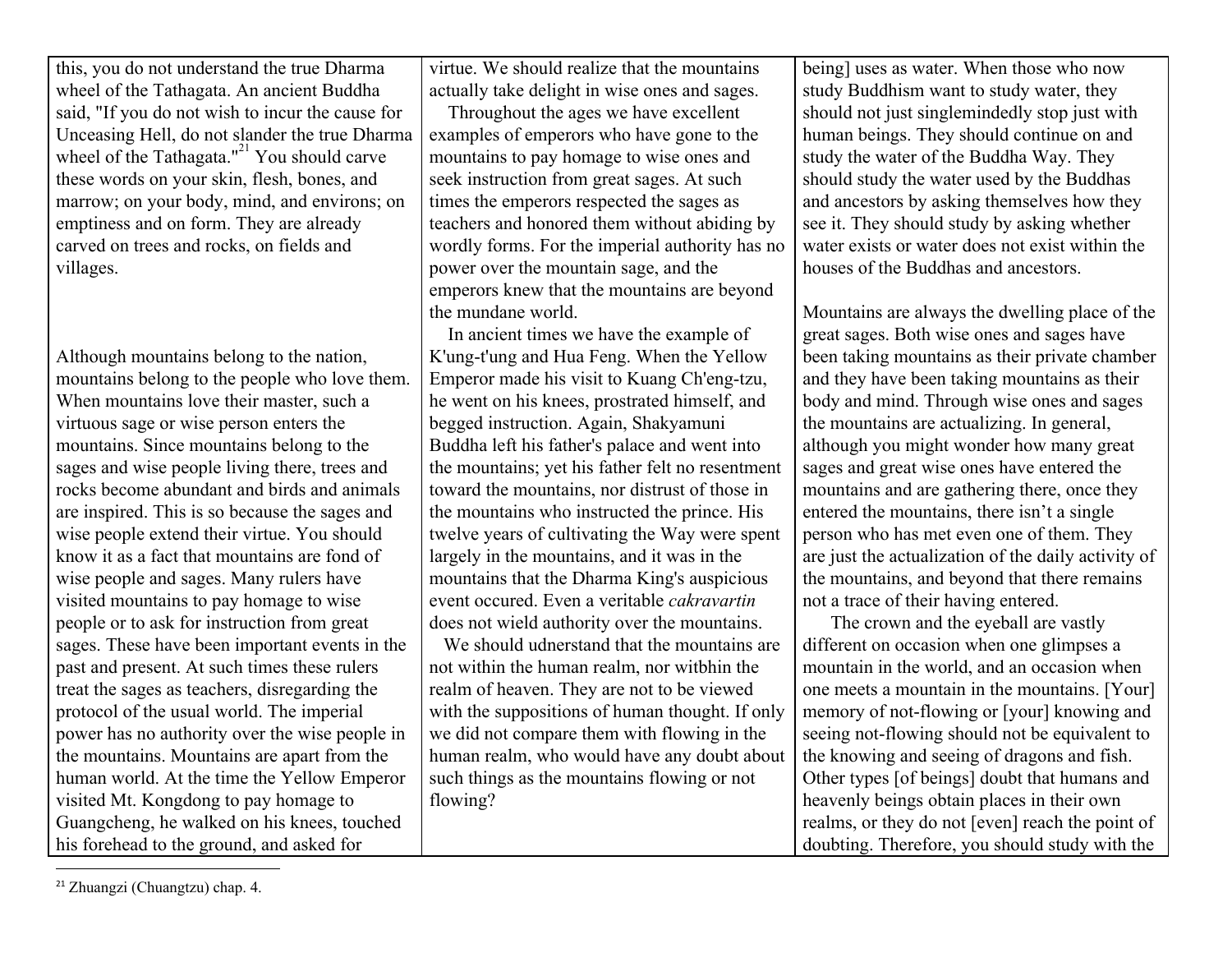this, you do not understand the true Dharma wheel of the Tathagata. An ancient Buddha said, "If you do not wish to incur the cause for Unceasing Hell, do not slander the true Dharma wheel of the Tathagata."<sup>21</sup> You should carve these words on your skin, flesh, bones, and marrow; on your body, mind, and environs; on emptiness and on form. They are already carved on trees and rocks, on fields and villages.

Although mountains belong to the nation, mountains belong to the people who love them. When mountains love their master, such a virtuous sage or wise person enters the mountains. Since mountains belong to the sages and wise people living there, trees and rocks become abundant and birds and animals are inspired. This is so because the sages and wise people extend their virtue. You should know it as a fact that mountains are fond of wise people and sages. Many rulers have visited mountains to pay homage to wise people or to ask for instruction from great sages. These have been important events in the past and present. At such times these rulers treat the sages as teachers, disregarding the protocol of the usual world. The imperial power has no authority over the wise people in the mountains. Mountains are apart from the human world. At the time the Yellow Emperor visited Mt. Kongdong to pay homage to Guangcheng, he walked on his knees, touched his forehead to the ground, and asked for

virtue. We should realize that the mountains actually take delight in wise ones and sages.

 Throughout the ages we have excellent examples of emperors who have gone to the mountains to pay homage to wise ones and seek instruction from great sages. At such times the emperors respected the sages as teachers and honored them without abiding by wordly forms. For the imperial authority has no power over the mountain sage, and the emperors knew that the mountains are beyond the mundane world.

 In ancient times we have the example of K'ung-t'ung and Hua Feng. When the Yellow Emperor made his visit to Kuang Ch'eng-tzu, he went on his knees, prostrated himself, and begged instruction. Again, Shakyamuni Buddha left his father's palace and went into the mountains; yet his father felt no resentment toward the mountains, nor distrust of those in the mountains who instructed the prince. His twelve years of cultivating the Way were spent largely in the mountains, and it was in the mountains that the Dharma King's auspicious event occured. Even a veritable *cakravartin* does not wield authority over the mountains.

 We should udnerstand that the mountains are not within the human realm, nor witbhin the realm of heaven. They are not to be viewed with the suppositions of human thought. If only we did not compare them with flowing in the human realm, who would have any doubt about such things as the mountains flowing or not flowing?

being] uses as water. When those who now study Buddhism want to study water, they should not just singlemindedly stop just with human beings. They should continue on and study the water of the Buddha Way. They should study the water used by the Buddhas and ancestors by asking themselves how they see it. They should study by asking whether water exists or water does not exist within the houses of the Buddhas and ancestors.

Mountains are always the dwelling place of the great sages. Both wise ones and sages have been taking mountains as their private chamber and they have been taking mountains as their body and mind. Through wise ones and sages the mountains are actualizing. In general, although you might wonder how many great sages and great wise ones have entered the mountains and are gathering there, once they entered the mountains, there isn't a single person who has met even one of them. They are just the actualization of the daily activity of the mountains, and beyond that there remains not a trace of their having entered.

 The crown and the eyeball are vastly different on occasion when one glimpses a mountain in the world, and an occasion when one meets a mountain in the mountains. [Your] memory of not-flowing or [your] knowing and seeing not-flowing should not be equivalent to the knowing and seeing of dragons and fish. Other types [of beings] doubt that humans and heavenly beings obtain places in their own realms, or they do not [even] reach the point of doubting. Therefore, you should study with the

<sup>21</sup> Zhuangzi (Chuangtzu) chap. 4.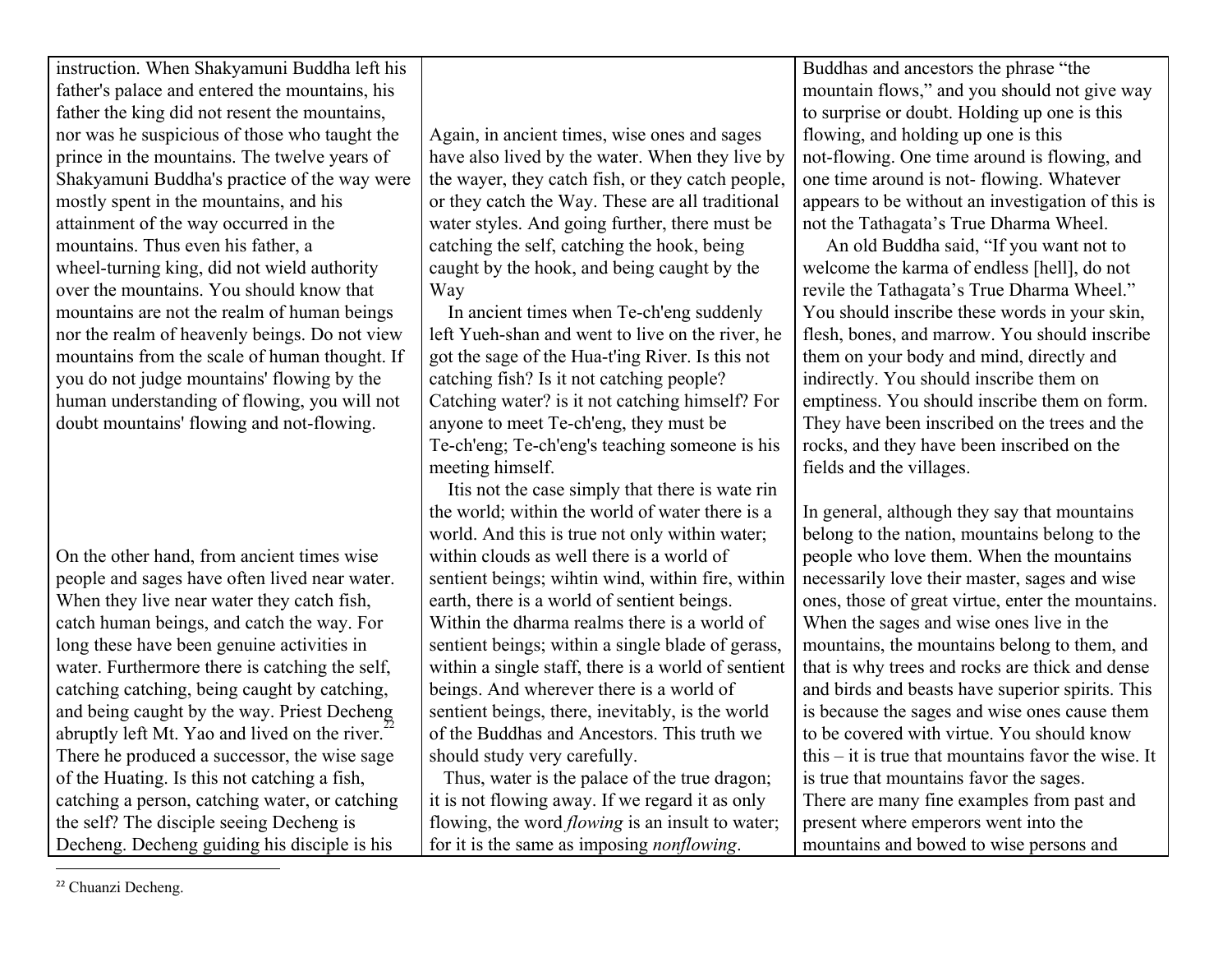instruction. When Shakyamuni Buddha left his father's palace and entered the mountains, his father the king did not resent the mountains, nor was he suspicious of those who taught the prince in the mountains. The twelve years of Shakyamuni Buddha's practice of the way were mostly spent in the mountains, and his attainment of the way occurred in the mountains. Thus even his father, a wheel-turning king, did not wield authority over the mountains. You should know that mountains are not the realm of human beings nor the realm of heavenly beings. Do not view mountains from the scale of human thought. If you do not judge mountains' flowing by the human understanding of flowing, you will not doubt mountains' flowing and not-flowing.

On the other hand, from ancient times wise people and sages have often lived near water. When they live near water they catch fish, catch human beings, and catch the way. For long these have been genuine activities in water. Furthermore there is catching the self, catching catching, being caught by catching, and being caught by the way. Priest Decheng abruptly left Mt. Yao and lived on the river. $2^2$ There he produced a successor, the wise sage of the Huating. Is this not catching a fish, catching a person, catching water, or catching the self? The disciple seeing Decheng is Decheng. Decheng guiding his disciple is his

Again, in ancient times, wise ones and sages have also lived by the water. When they live by the wayer, they catch fish, or they catch people, or they catch the Way. These are all traditional water styles. And going further, there must be catching the self, catching the hook, being caught by the hook, and being caught by the Way

 In ancient times when Te-ch'eng suddenly left Yueh-shan and went to live on the river, he got the sage of the Hua-t'ing River. Is this not catching fish? Is it not catching people? Catching water? is it not catching himself? For anyone to meet Te-ch'eng, they must be Te-ch'eng; Te-ch'eng's teaching someone is his meeting himself.

 Itis not the case simply that there is wate rin the world; within the world of water there is a world. And this is true not only within water; within clouds as well there is a world of sentient beings; wihtin wind, within fire, within earth, there is a world of sentient beings. Within the dharma realms there is a world of sentient beings; within a single blade of gerass, within a single staff, there is a world of sentient beings. And wherever there is a world of sentient beings, there, inevitably, is the world of the Buddhas and Ancestors. This truth we should study very carefully.

 Thus, water is the palace of the true dragon; it is not flowing away. If we regard it as only flowing, the word *flowing* is an insult to water; for it is the same as imposing *nonflowing*.

Buddhas and ancestors the phrase "the mountain flows," and you should not give way to surprise or doubt. Holding up one is this flowing, and holding up one is this not-flowing. One time around is flowing, and one time around is not- flowing. Whatever appears to be without an investigation of this is not the Tathagata's True Dharma Wheel.

 An old Buddha said, "If you want not to welcome the karma of endless [hell], do not revile the Tathagata's True Dharma Wheel." You should inscribe these words in your skin, flesh, bones, and marrow. You should inscribe them on your body and mind, directly and indirectly. You should inscribe them on emptiness. You should inscribe them on form. They have been inscribed on the trees and the rocks, and they have been inscribed on the fields and the villages.

In general, although they say that mountains belong to the nation, mountains belong to the people who love them. When the mountains necessarily love their master, sages and wise ones, those of great virtue, enter the mountains. When the sages and wise ones live in the mountains, the mountains belong to them, and that is why trees and rocks are thick and dense and birds and beasts have superior spirits. This is because the sages and wise ones cause them to be covered with virtue. You should know this – it is true that mountains favor the wise. It is true that mountains favor the sages. There are many fine examples from past and present where emperors went into the mountains and bowed to wise persons and

<sup>22</sup> Chuanzi Decheng.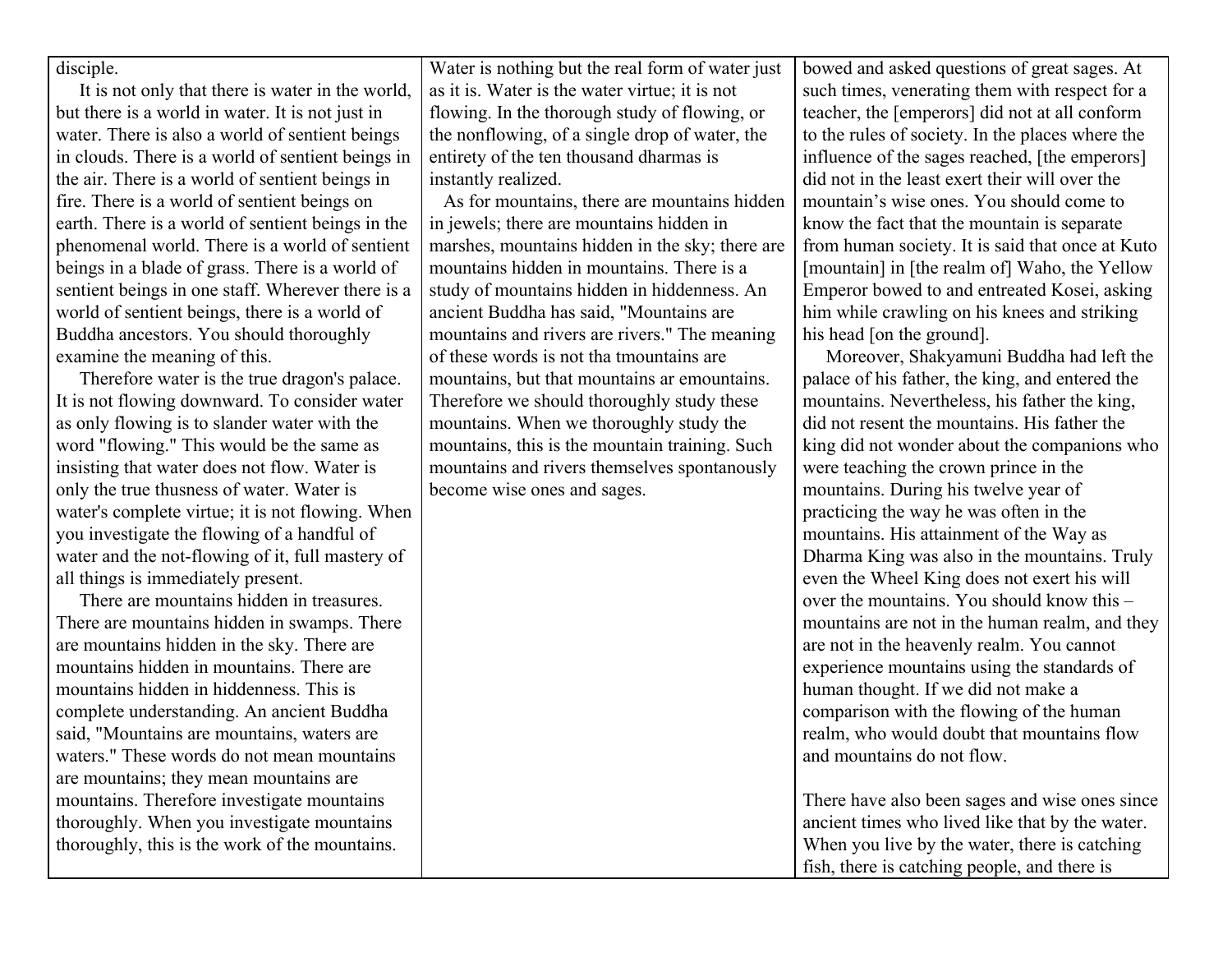disciple.

 It is not only that there is water in the world, but there is a world in water. It is not just in water. There is also a world of sentient beings in clouds. There is a world of sentient beings in the air. There is a world of sentient beings in fire. There is a world of sentient beings on earth. There is a world of sentient beings in the phenomenal world. There is a world of sentient beings in a blade of grass. There is a world of sentient beings in one staff. Wherever there is a world of sentient beings, there is a world of Buddha ancestors. You should thoroughly examine the meaning of this.

 Therefore water is the true dragon's palace. It is not flowing downward. To consider water as only flowing is to slander water with the word "flowing." This would be the same as insisting that water does not flow. Water is only the true thusness of water. Water is water's complete virtue; it is not flowing. When you investigate the flowing of a handful of water and the not-flowing of it, full mastery of all things is immediately present.

 There are mountains hidden in treasures. There are mountains hidden in swamps. There are mountains hidden in the sky. There are mountains hidden in mountains. There are mountains hidden in hiddenness. This is complete understanding. An ancient Buddha said, "Mountains are mountains, waters are waters." These words do not mean mountains. are mountains; they mean mountains are mountains. Therefore investigate mountains thoroughly. When you investigate mountains thoroughly, this is the work of the mountains.

Water is nothing but the real form of water just as it is. Water is the water virtue; it is not flowing. In the thorough study of flowing, or the nonflowing, of a single drop of water, the entirety of the ten thousand dharmas is instantly realized.

 As for mountains, there are mountains hidden in jewels; there are mountains hidden in marshes, mountains hidden in the sky; there are mountains hidden in mountains. There is a study of mountains hidden in hiddenness. An ancient Buddha has said, "Mountains are mountains and rivers are rivers." The meaning of these words is not tha tmountains are mountains, but that mountains ar emountains. Therefore we should thoroughly study these mountains. When we thoroughly study the mountains, this is the mountain training. Such mountains and rivers themselves spontanously become wise ones and sages.

bowed and asked questions of great sages. At such times, venerating them with respect for a teacher, the [emperors] did not at all conform to the rules of society. In the places where the influence of the sages reached, [the emperors] did not in the least exert their will over the mountain's wise ones. You should come to know the fact that the mountain is separate from human society. It is said that once at Kuto [mountain] in [the realm of] Waho, the Yellow Emperor bowed to and entreated Kosei, asking him while crawling on his knees and striking his head [on the ground].

 Moreover, Shakyamuni Buddha had left the palace of his father, the king, and entered the mountains. Nevertheless, his father the king, did not resent the mountains. His father the king did not wonder about the companions who were teaching the crown prince in the mountains. During his twelve year of practicing the way he was often in the mountains. His attainment of the Way as Dharma King was also in the mountains. Truly even the Wheel King does not exert his will over the mountains. You should know this – mountains are not in the human realm, and they are not in the heavenly realm. You cannot experience mountains using the standards of human thought. If we did not make a comparison with the flowing of the human realm, who would doubt that mountains flow and mountains do not flow.

There have also been sages and wise ones since ancient times who lived like that by the water. When you live by the water, there is catching fish, there is catching people, and there is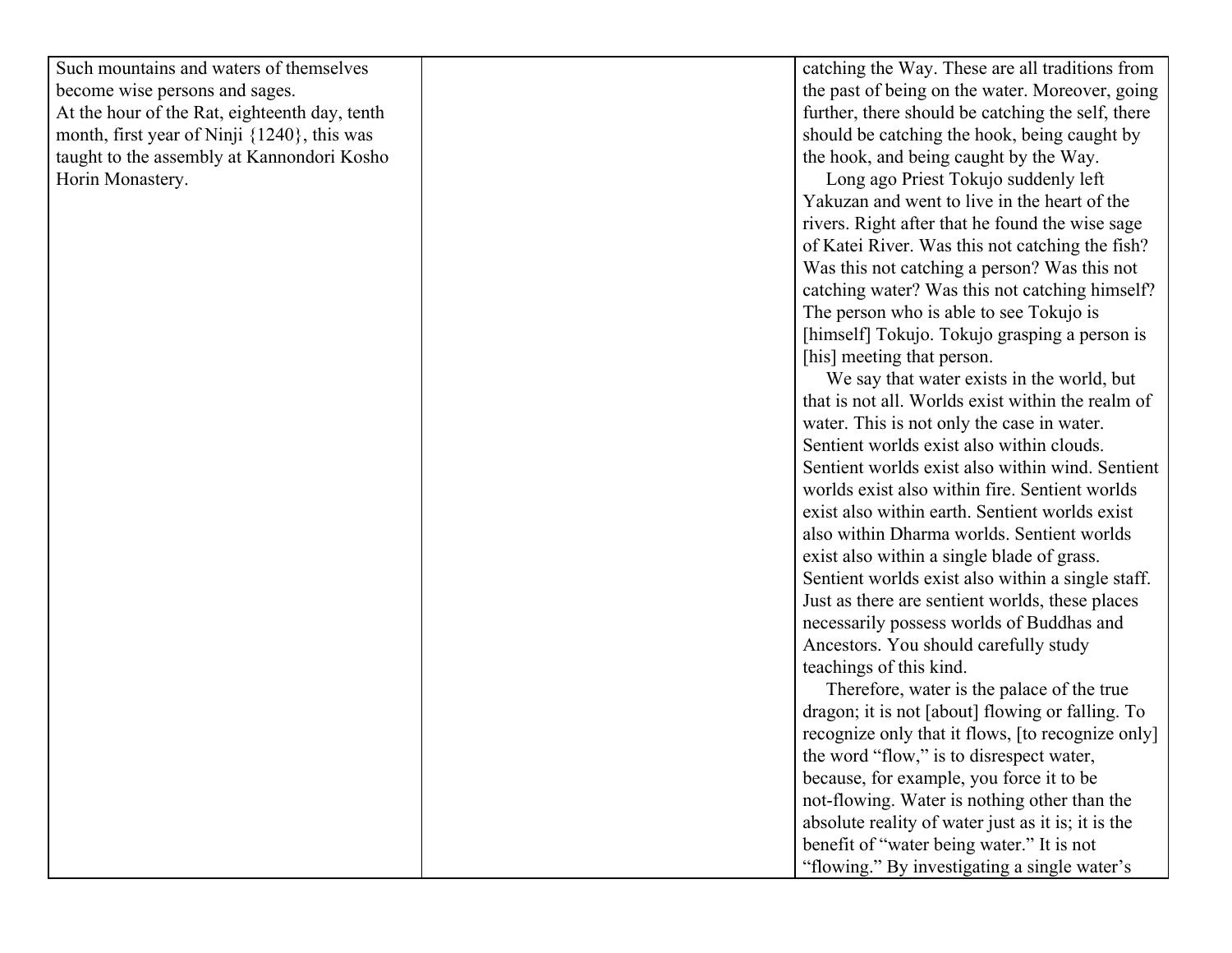Such mountains and waters of themselves become wise persons and sages. At the hour of the Rat, eighteenth day, tenth month, first year of Ninji {1240}, this was taught to the assembly at Kannondori Kosho Horin Monastery.

catching the Way. These are all traditions from the past of being on the water. Moreover, going further, there should be catching the self, there should be catching the hook, being caught by the hook, and being caught by the Way.

 Long ago Priest Tokujo suddenly left Yakuzan and went to live in the heart of the rivers. Right after that he found the wise sage of Katei River. Was this not catching the fish? Was this not catching a person? Was this not catching water? Was this not catching himself? The person who is able to see Tokujo is [himself] Tokujo. Tokujo grasping a person is [his] meeting that person.

 We say that water exists in the world, but that is not all. Worlds exist within the realm of water. This is not only the case in water. Sentient worlds exist also within clouds. Sentient worlds exist also within wind. Sentient worlds exist also within fire. Sentient worlds exist also within earth. Sentient worlds exist also within Dharma worlds. Sentient worlds exist also within a single blade of grass. Sentient worlds exist also within a single staff. Just as there are sentient worlds, these places necessarily possess worlds of Buddhas and Ancestors. You should carefully study teachings of this kind.

 Therefore, water is the palace of the true dragon; it is not [about] flowing or falling. To recognize only that it flows, [to recognize only] the word "flow," is to disrespect water, because, for example, you force it to be not-flowing. Water is nothing other than the absolute reality of water just as it is; it is the benefit of "water being water." It is not "flowing." By investigating a single water's